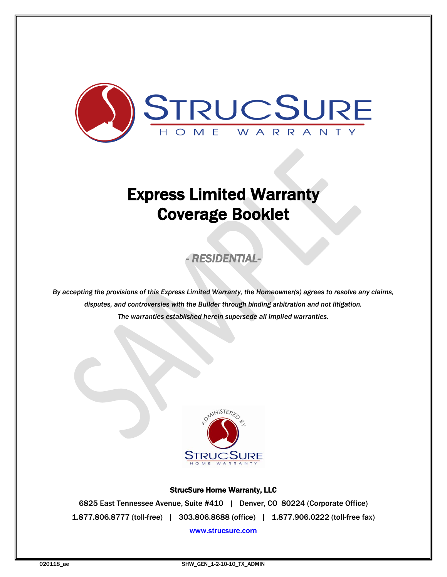

# Express Limited Warranty Coverage Booklet

*- RESIDENTIAL-* 

l<br>L

*By accepting the provisions of this Express Limited Warranty, the Homeowner(s) agrees to resolve any claims, disputes, and controversies with the Builder through binding arbitration and not litigation. The warranties established herein supersede all implied warranties.* 



# StrucSure Home Warranty, LLC

6825 East Tennessee Avenue, Suite #410 | Denver, CO 80224 (Corporate Office) 1.877.806.8777 (toll-free) | 303.806.8688 (office) | 1.877.906.0222 (toll-free fax)

[www.strucsure.com](http://www.strucsure.com/)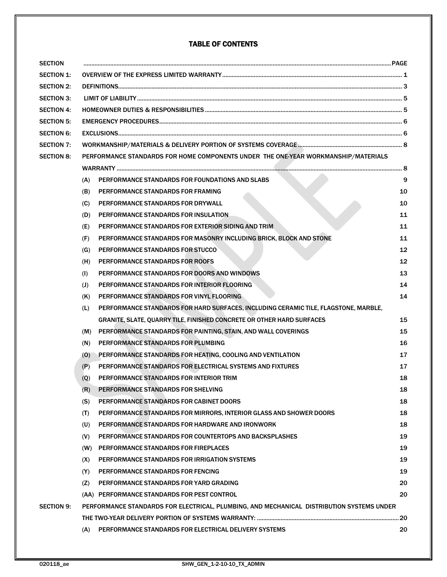# TABLE OF CONTENTS

| <b>SECTION</b>    |                                                                                           |                                                                                     |    |  |  |  |
|-------------------|-------------------------------------------------------------------------------------------|-------------------------------------------------------------------------------------|----|--|--|--|
| <b>SECTION 1:</b> |                                                                                           |                                                                                     |    |  |  |  |
| <b>SECTION 2:</b> |                                                                                           |                                                                                     |    |  |  |  |
| <b>SECTION 3:</b> |                                                                                           |                                                                                     |    |  |  |  |
| <b>SECTION 4:</b> |                                                                                           |                                                                                     |    |  |  |  |
| <b>SECTION 5:</b> |                                                                                           |                                                                                     |    |  |  |  |
| <b>SECTION 6:</b> |                                                                                           |                                                                                     |    |  |  |  |
| <b>SECTION 7:</b> |                                                                                           |                                                                                     |    |  |  |  |
| <b>SECTION 8:</b> | PERFORMANCE STANDARDS FOR HOME COMPONENTS UNDER THE ONE-YEAR WORKMANSHIP/MATERIALS        |                                                                                     |    |  |  |  |
|                   |                                                                                           |                                                                                     |    |  |  |  |
|                   | (A)                                                                                       | PERFORMANCE STANDARDS FOR FOUNDATIONS AND SLABS                                     | 9  |  |  |  |
|                   | (B)                                                                                       | PERFORMANCE STANDARDS FOR FRAMING                                                   | 10 |  |  |  |
|                   | (C)                                                                                       | PERFORMANCE STANDARDS FOR DRYWALL                                                   | 10 |  |  |  |
|                   | (D)                                                                                       | PERFORMANCE STANDARDS FOR INSULATION                                                | 11 |  |  |  |
|                   | (E)                                                                                       | PERFORMANCE STANDARDS FOR EXTERIOR SIDING AND TRIM                                  | 11 |  |  |  |
|                   | (F)                                                                                       | PERFORMANCE STANDARDS FOR MASONRY INCLUDING BRICK, BLOCK AND STONE                  | 11 |  |  |  |
|                   | (G)                                                                                       | PERFORMANCE STANDARDS FOR STUCCO                                                    | 12 |  |  |  |
|                   | (H)                                                                                       | PERFORMANCE STANDARDS FOR ROOFS                                                     | 12 |  |  |  |
|                   | (I)                                                                                       | PERFORMANCE STANDARDS FOR DOORS AND WINDOWS                                         | 13 |  |  |  |
|                   | (I)                                                                                       | PERFORMANCE STANDARDS FOR INTERIOR FLOORING                                         | 14 |  |  |  |
|                   | (K)                                                                                       | PERFORMANCE STANDARDS FOR VINYL FLOORING                                            | 14 |  |  |  |
|                   | (L)                                                                                       | PERFORMANCE STANDARDS FOR HARD SURFACES, INCLUDING CERAMIC TILE, FLAGSTONE, MARBLE, |    |  |  |  |
|                   |                                                                                           | <b>GRANITE, SLATE, QUARRY TILE, FINISHED CONCRETE OR OTHER HARD SURFACES</b>        | 15 |  |  |  |
|                   | (M)                                                                                       | PERFORMANCE STANDARDS FOR PAINTING, STAIN, AND WALL COVERINGS                       | 15 |  |  |  |
|                   | (N)                                                                                       | PERFORMANCE STANDARDS FOR PLUMBING                                                  | 16 |  |  |  |
|                   | (0)                                                                                       | PERFORMANCE STANDARDS FOR HEATING, COOLING AND VENTILATION                          | 17 |  |  |  |
|                   | (P)                                                                                       | PERFORMANCE STANDARDS FOR ELECTRICAL SYSTEMS AND FIXTURES                           | 17 |  |  |  |
|                   | (Q)                                                                                       | PERFORMANCE STANDARDS FOR INTERIOR TRIM                                             | 18 |  |  |  |
| <b>SECTION 9:</b> | (R)                                                                                       | PERFORMANCE STANDARDS FOR SHELVING                                                  | 18 |  |  |  |
|                   | (S)                                                                                       | PERFORMANCE STANDARDS FOR CABINET DOORS                                             | 18 |  |  |  |
|                   | (T)                                                                                       | PERFORMANCE STANDARDS FOR MIRRORS. INTERIOR GLASS AND SHOWER DOORS                  | 18 |  |  |  |
|                   | (U)                                                                                       | PERFORMANCE STANDARDS FOR HARDWARE AND IRONWORK                                     | 18 |  |  |  |
|                   | (V)                                                                                       | PERFORMANCE STANDARDS FOR COUNTERTOPS AND BACKSPLASHES                              | 19 |  |  |  |
|                   | (W)                                                                                       | PERFORMANCE STANDARDS FOR FIREPLACES                                                | 19 |  |  |  |
|                   | (X)                                                                                       | PERFORMANCE STANDARDS FOR IRRIGATION SYSTEMS                                        | 19 |  |  |  |
|                   | (Y)                                                                                       | PERFORMANCE STANDARDS FOR FENCING                                                   | 19 |  |  |  |
|                   | (Z)                                                                                       | PERFORMANCE STANDARDS FOR YARD GRADING                                              | 20 |  |  |  |
|                   |                                                                                           | (AA) PERFORMANCE STANDARDS FOR PEST CONTROL                                         | 20 |  |  |  |
|                   | PERFORMANCE STANDARDS FOR ELECTRICAL, PLUMBING, AND MECHANICAL DISTRIBUTION SYSTEMS UNDER |                                                                                     |    |  |  |  |
|                   |                                                                                           |                                                                                     |    |  |  |  |
|                   | (A)                                                                                       | PERFORMANCE STANDARDS FOR ELECTRICAL DELIVERY SYSTEMS                               | 20 |  |  |  |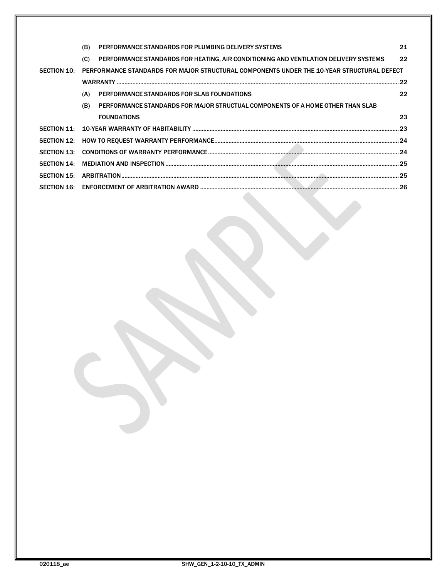|                    | (B)                                                                                       | PERFORMANCE STANDARDS FOR PLUMBING DELIVERY SYSTEMS                                  | 21 |  |
|--------------------|-------------------------------------------------------------------------------------------|--------------------------------------------------------------------------------------|----|--|
|                    | (C)                                                                                       | PERFORMANCE STANDARDS FOR HEATING, AIR CONDITIONING AND VENTILATION DELIVERY SYSTEMS | 22 |  |
| <b>SECTION 10:</b> | PERFORMANCE STANDARDS FOR MAJOR STRUCTURAL COMPONENTS UNDER THE 10-YEAR STRUCTURAL DEFECT |                                                                                      |    |  |
|                    |                                                                                           |                                                                                      |    |  |
|                    | (A)                                                                                       | PERFORMANCE STANDARDS FOR SLAB FOUNDATIONS                                           | 22 |  |
|                    | (B)                                                                                       | PERFORMANCE STANDARDS FOR MAJOR STRUCTUAL COMPONENTS OF A HOME OTHER THAN SLAB       |    |  |
|                    |                                                                                           | <b>FOUNDATIONS</b>                                                                   | 23 |  |
| <b>SECTION 11:</b> |                                                                                           |                                                                                      |    |  |
| <b>SECTION 12:</b> |                                                                                           |                                                                                      |    |  |
| <b>SECTION 13:</b> |                                                                                           |                                                                                      |    |  |
| SECTION 14:        |                                                                                           |                                                                                      |    |  |
| <b>SECTION 15:</b> |                                                                                           |                                                                                      |    |  |
|                    |                                                                                           |                                                                                      |    |  |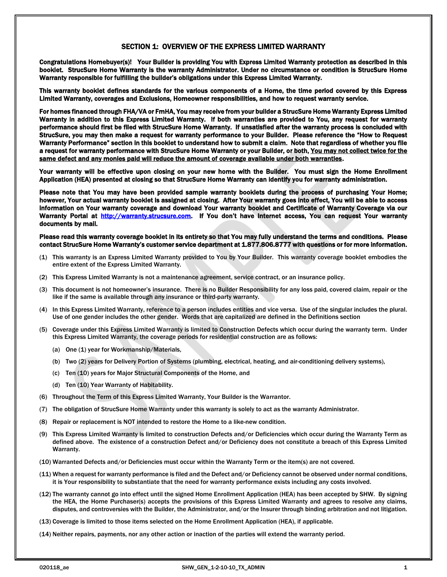# SECTION 1: OVERVIEW OF THE EXPRESS LIMITED WARRANTY

Congratulations Homebuyer(s)! Your Builder is providing You with Express Limited Warranty protection as described in this booklet. StrucSure Home Warranty is the warranty Administrator. Under no circumstance or condition is StrucSure Home Warranty responsible for fulfilling the builder's obligations under this Express Limited Warranty.

This warranty booklet defines standards for the various components of a Home, the time period covered by this Express Limited Warranty, coverages and Exclusions, Homeowner responsibilities, and how to request warranty service.

For homes financed through FHA/VA or FmHA, You may receive from your builder a StrucSure Home Warranty Express Limited Warranty in addition to this Express Limited Warranty. If both warranties are provided to You, any request for warranty performance should first be filed with StrucSure Home Warranty. If unsatisfied after the warranty process is concluded with StrucSure, you may then make a request for warranty performance to your Builder. Please reference the "How to Request Warranty Performance" section in this booklet to understand how to submit a claim. Note that regardless of whether you file a request for warranty performance with StrucSure Home Warranty or your Builder, or both, You may not collect twice for the same defect and any monies paid will reduce the amount of coverage available under both warranties.

Your warranty will be effective upon closing on your new home with the Builder. You must sign the Home Enrollment Application (HEA) presented at closing so that StrucSure Home Warranty can identify you for warranty administration.

Please note that You may have been provided sample warranty booklets during the process of purchasing Your Home; however, Your actual warranty booklet is assigned at closing. After Your warranty goes into effect, You will be able to access information on Your warranty coverage and download Your warranty booklet and Certificate of Warranty Coverage via our Warranty Portal at [http://warranty.strucsure.com.](http://warranty.strucsure.com/) If You don't have Internet access, You can request Your warranty documents by mail.

Please read this warranty coverage booklet in its entirety so that You may fully understand the terms and conditions. Please contact StrucSure Home Warranty's customer service department at 1.877.806.8777 with questions or for more information.

- (1) This warranty is an Express Limited Warranty provided to You by Your Builder. This warranty coverage booklet embodies the entire extent of the Express Limited Warranty.
- (2) This Express Limited Warranty is not a maintenance agreement, service contract, or an insurance policy.
- (3) This document is not homeowner's insurance. There is no Builder Responsibility for any loss paid, covered claim, repair or the like if the same is available through any insurance or third-party warranty.
- (4) In this Express Limited Warranty, reference to a person includes entities and vice versa. Use of the singular includes the plural. Use of one gender includes the other gender. Words that are capitalized are defined in the Definitions section
- (5) Coverage under this Express Limited Warranty is limited to Construction Defects which occur during the warranty term. Under this Express Limited Warranty, the coverage periods for residential construction are as follows:
	- (a) One (1) year for Workmanship/Materials,
	- (b) Two (2) years for Delivery Portion of Systems (plumbing, electrical, heating, and air-conditioning delivery systems),
	- (c) Ten (10) years for Major Structural Components of the Home, and
	- (d) Ten (10) Year Warranty of Habitability.
- (6) Throughout the Term of this Express Limited Warranty, Your Builder is the Warrantor.
- (7) The obligation of StrucSure Home Warranty under this warranty is solely to act as the warranty Administrator.
- (8) Repair or replacement is NOT intended to restore the Home to a like-new condition.
- (9) This Express Limited Warranty is limited to construction Defects and/or Deficiencies which occur during the Warranty Term as defined above. The existence of a construction Defect and/or Deficiency does not constitute a breach of this Express Limited Warranty.
- (10) Warranted Defects and/or Deficiencies must occur within the Warranty Term or the item(s) are not covered.
- (11) When a request for warranty performance is filed and the Defect and/or Deficiency cannot be observed under normal conditions, it is Your responsibility to substantiate that the need for warranty performance exists including any costs involved.
- (12) The warranty cannot go into effect until the signed Home Enrollment Application (HEA) has been accepted by SHW. By signing the HEA, the Home Purchaser(s) accepts the provisions of this Express Limited Warranty and agrees to resolve any claims, disputes, and controversies with the Builder, the Administrator, and/or the Insurer through binding arbitration and not litigation.
- (13) Coverage is limited to those items selected on the Home Enrollment Application (HEA), if applicable.
- (14) Neither repairs, payments, nor any other action or inaction of the parties will extend the warranty period.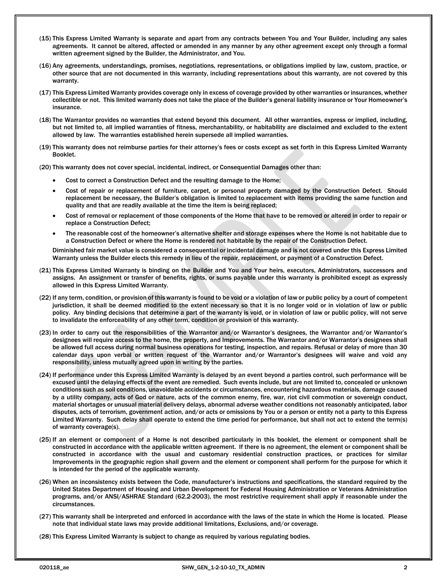- (15) This Express Limited Warranty is separate and apart from any contracts between You and Your Builder, including any sales agreements. It cannot be altered, affected or amended in any manner by any other agreement except only through a formal written agreement signed by the Builder, the Administrator, and You.
- (16) Any agreements, understandings, promises, negotiations, representations, or obligations implied by law, custom, practice, or other source that are not documented in this warranty, including representations about this warranty, are not covered by this warranty.
- (17) This Express Limited Warranty provides coverage only in excess of coverage provided by other warranties or insurances, whether collectible or not. This limited warranty does not take the place of the Builder's general liability insurance or Your Homeowner's insurance.
- (18) The Warrantor provides no warranties that extend beyond this document. All other warranties, express or implied, including, but not limited to, all implied warranties of fitness, merchantability, or habitability are disclaimed and excluded to the extent allowed by law. The warranties established herein supersede all implied warranties.
- (19) This warranty does not reimburse parties for their attorney's fees or costs except as set forth in this Express Limited Warranty Booklet.
- (20) This warranty does not cover special, incidental, indirect, or Consequential Damages other than:
	- Cost to correct a Construction Defect and the resulting damage to the Home;
	- Cost of repair or replacement of furniture, carpet, or personal property damaged by the Construction Defect. Should replacement be necessary, the Builder's obligation is limited to replacement with items providing the same function and quality and that are readily available at the time the item is being replaced;
	- Cost of removal or replacement of those components of the Home that have to be removed or altered in order to repair or replace a Construction Defect;
	- The reasonable cost of the homeowner's alternative shelter and storage expenses where the Home is not habitable due to a Construction Defect or where the Home is rendered not habitable by the repair of the Construction Defect.

Diminished fair market value is considered a consequential or incidental damage and is not covered under this Express Limited Warranty unless the Builder elects this remedy in lieu of the repair, replacement, or payment of a Construction Defect.

- (21) This Express Limited Warranty is binding on the Builder and You and Your heirs, executors, Administrators, successors and assigns. An assignment or transfer of benefits, rights, or sums payable under this warranty is prohibited except as expressly allowed in this Express Limited Warranty.
- (22) If any term, condition, or provision of this warranty is found to be void or a violation of law or public policy by a court of competent jurisdiction, it shall be deemed modified to the extent necessary so that it is no longer void or in violation of law or public policy. Any binding decisions that determine a part of the warranty is void, or in violation of law or public policy, will not serve to invalidate the enforceability of any other term, condition or provision of this warranty.
- (23) In order to carry out the responsibilities of the Warrantor and/or Warrantor's designees, the Warrantor and/or Warrantor's designees will require access to the home, the property, and Improvements. The Warrantor and/or Warrantor's designees shall be allowed full access during normal business operations for testing, inspection, and repairs. Refusal or delay of more than 30 calendar days upon verbal or written request of the Warrantor and/or Warrantor's designees will waive and void any responsibility, unless mutually agreed upon in writing by the parties.
- (24) If performance under this Express Limited Warranty is delayed by an event beyond a parties control, such performance will be excused until the delaying effects of the event are remedied. Such events include, but are not limited to, concealed or unknown conditions such as soil conditions, unavoidable accidents or circumstances, encountering hazardous materials, damage caused by a utility company, acts of God or nature, acts of the common enemy, fire, war, riot civil commotion or sovereign conduct, material shortages or unusual material delivery delays, abnormal adverse weather conditions not reasonably anticipated, labor disputes, acts of terrorism, government action, and/or acts or omissions by You or a person or entity not a party to this Express Limited Warranty. Such delay shall operate to extend the time period for performance, but shall not act to extend the term(s) of warranty coverage(s).
- (25) If an element or component of a Home is not described particularly in this booklet, the element or component shall be constructed in accordance with the applicable written agreement. If there is no agreement, the element or component shall be constructed in accordance with the usual and customary residential construction practices, or practices for similar Improvements in the geographic region shall govern and the element or component shall perform for the purpose for which it is intended for the period of the applicable warranty.
- (26) When an inconsistency exists between the Code, manufacturer's instructions and specifications, the standard required by the United States Department of Housing and Urban Development for Federal Housing Administration or Veterans Administration programs, and/or ANSI/ASHRAE Standard (62.2-2003), the most restrictive requirement shall apply if reasonable under the circumstances.
- (27) This warranty shall be interpreted and enforced in accordance with the laws of the state in which the Home is located. Please note that individual state laws may provide additional limitations, Exclusions, and/or coverage.
- (28) This Express Limited Warranty is subject to change as required by various regulating bodies.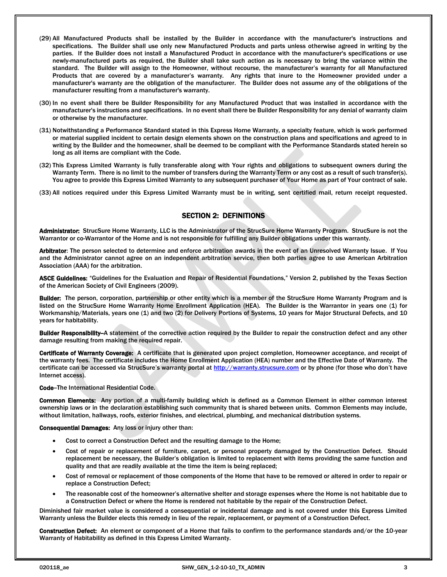- (29) All Manufactured Products shall be installed by the Builder in accordance with the manufacturer's instructions and specifications. The Builder shall use only new Manufactured Products and parts unless otherwise agreed in writing by the parties. If the Builder does not install a Manufactured Product in accordance with the manufacturer's specifications or use newly-manufactured parts as required, the Builder shall take such action as is necessary to bring the variance within the standard. The Builder will assign to the Homeowner, without recourse, the manufacturer's warranty for all Manufactured Products that are covered by a manufacturer's warranty. Any rights that inure to the Homeowner provided under a manufacturer's warranty are the obligation of the manufacturer. The Builder does not assume any of the obligations of the manufacturer resulting from a manufacturer's warranty.
- (30) In no event shall there be Builder Responsibility for any Manufactured Product that was installed in accordance with the manufacturer's instructions and specifications. In no event shall there be Builder Responsibility for any denial of warranty claim or otherwise by the manufacturer.
- (31) Notwithstanding a Performance Standard stated in this Express Home Warranty, a specialty feature, which is work performed or material supplied incident to certain design elements shown on the construction plans and specifications and agreed to in writing by the Builder and the homeowner, shall be deemed to be compliant with the Performance Standards stated herein so long as all items are compliant with the Code.
- (32) This Express Limited Warranty is fully transferable along with Your rights and obligations to subsequent owners during the Warranty Term. There is no limit to the number of transfers during the Warranty Term or any cost as a result of such transfer(s). You agree to provide this Express Limited Warranty to any subsequent purchaser of Your Home as part of Your contract of sale.
- (33) All notices required under this Express Limited Warranty must be in writing, sent certified mail, return receipt requested.

# SECTION 2: DEFINITIONS

Administrator: StrucSure Home Warranty, LLC is the Administrator of the StrucSure Home Warranty Program. StrucSure is not the Warrantor or co-Warrantor of the Home and is not responsible for fulfilling any Builder obligations under this warranty.

Arbitrator: The person selected to determine and enforce arbitration awards in the event of an Unresolved Warranty Issue. If You and the Administrator cannot agree on an independent arbitration service, then both parties agree to use American Arbitration Association (AAA) for the arbitration.

ASCE Guidelines: "Guidelines for the Evaluation and Repair of Residential Foundations," Version 2, published by the Texas Section of the American Society of Civil Engineers (2009).

Builder: The person, corporation, partnership or other entity which is a member of the StrucSure Home Warranty Program and is listed on the StrucSure Home Warranty Home Enrollment Application (HEA). The Builder is the Warrantor in years one (1) for Workmanship/Materials, years one (1) and two (2) for Delivery Portions of Systems, 10 years for Major Structural Defects, and 10 years for habitability.

Builder Responsibility-A statement of the corrective action required by the Builder to repair the construction defect and any other damage resulting from making the required repair.

Certificate of Warranty Coverage: A certificate that is generated upon project completion, Homeowner acceptance, and receipt of the warranty fees. The certificate includes the Home Enrollment Application (HEA) number and the Effective Date of Warranty. The certificate can be accessed via StrucSure's warranty portal at [http://warranty.strucsure.com](http://warranty.strucsure.com/) or by phone (for those who don't have Internet access).

Code-The International Residential Code.

Common Elements: Any portion of a multi-family building which is defined as a Common Element in either common interest ownership laws or in the declaration establishing such community that is shared between units. Common Elements may include, without limitation, hallways, roofs, exterior finishes, and electrical, plumbing, and mechanical distribution systems.

Consequential Damages: Any loss or injury other than:

- Cost to correct a Construction Defect and the resulting damage to the Home;
- Cost of repair or replacement of furniture, carpet, or personal property damaged by the Construction Defect. Should replacement be necessary, the Builder's obligation is limited to replacement with items providing the same function and quality and that are readily available at the time the item is being replaced;
- Cost of removal or replacement of those components of the Home that have to be removed or altered in order to repair or replace a Construction Defect;
- The reasonable cost of the homeowner's alternative shelter and storage expenses where the Home is not habitable due to a Construction Defect or where the Home is rendered not habitable by the repair of the Construction Defect.

Diminished fair market value is considered a consequential or incidental damage and is not covered under this Express Limited Warranty unless the Builder elects this remedy in lieu of the repair, replacement, or payment of a Construction Defect.

Construction Defect: An element or component of a Home that fails to confirm to the performance standards and/or the 10-year Warranty of Habitability as defined in this Express Limited Warranty.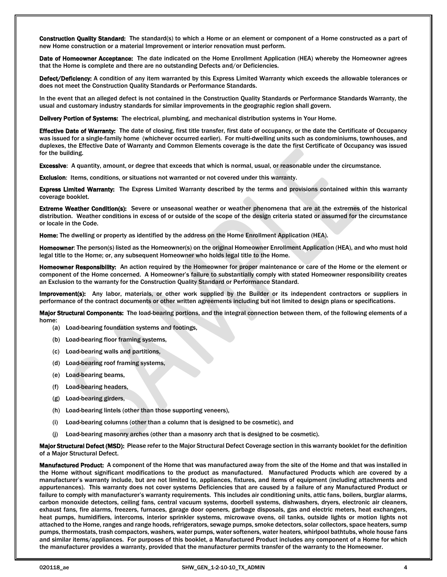Construction Quality Standard: The standard(s) to which a Home or an element or component of a Home constructed as a part of new Home construction or a material Improvement or interior renovation must perform.

Date of Homeowner Acceptance: The date indicated on the Home Enrollment Application (HEA) whereby the Homeowner agrees that the Home is complete and there are no outstanding Defects and/or Deficiencies.

Defect/Deficiency: A condition of any item warranted by this Express Limited Warranty which exceeds the allowable tolerances or does not meet the Construction Quality Standards or Performance Standards.

In the event that an alleged defect is not contained in the Construction Quality Standards or Performance Standards Warranty, the usual and customary industry standards for similar improvements in the geographic region shall govern.

Delivery Portion of Systems: The electrical, plumbing, and mechanical distribution systems in Your Home.

Effective Date of Warranty: The date of closing, first title transfer, first date of occupancy, or the date the Certificate of Occupancy was issued for a single-family home (whichever occurred earlier). For multi-dwelling units such as condominiums, townhouses, and duplexes, the Effective Date of Warranty and Common Elements coverage is the date the first Certificate of Occupancy was issued for the building.

Excessive: A quantity, amount, or degree that exceeds that which is normal, usual, or reasonable under the circumstance.

Exclusion: Items, conditions, or situations not warranted or not covered under this warranty.

Express Limited Warranty: The Express Limited Warranty described by the terms and provisions contained within this warranty coverage booklet.

Extreme Weather Condition(s): Severe or unseasonal weather or weather phenomena that are at the extremes of the historical distribution. Weather conditions in excess of or outside of the scope of the design criteria stated or assumed for the circumstance or locale in the Code.

Home: The dwelling or property as identified by the address on the Home Enrollment Application (HEA).

Homeowner: The person(s) listed as the Homeowner(s) on the original Homeowner Enrollment Application (HEA), and who must hold legal title to the Home; or, any subsequent Homeowner who holds legal title to the Home.

Homeowner Responsibility: An action required by the Homeowner for proper maintenance or care of the Home or the element or component of the Home concerned. A Homeowner's failure to substantially comply with stated Homeowner responsibility creates an Exclusion to the warranty for the Construction Quality Standard or Performance Standard.

Improvement(s): Any labor, materials, or other work supplied by the Builder or its independent contractors or suppliers in performance of the contract documents or other written agreements including but not limited to design plans or specifications.

Major Structural Components: The load-bearing portions, and the integral connection between them, of the following elements of a home:

- (a) Load-bearing foundation systems and footings,
- (b) Load-bearing floor framing systems,
- (c) Load-bearing walls and partitions,
- (d) Load-bearing roof framing systems,
- (e) Load-bearing beams,
- (f) Load-bearing headers,
- (g) Load-bearing girders,
- (h) Load-bearing lintels (other than those supporting veneers),
- (i) Load-bearing columns (other than a column that is designed to be cosmetic), and
- (j) Load-bearing masonry arches (other than a masonry arch that is designed to be cosmetic).

Major Structural Defect (MSD): Please refer to the Major Structural Defect Coverage section in this warranty booklet for the definition of a Major Structural Defect.

Manufactured Product: A component of the Home that was manufactured away from the site of the Home and that was installed in the Home without significant modifications to the product as manufactured. Manufactured Products which are covered by a manufacturer's warranty include, but are not limited to, appliances, fixtures, and items of equipment (including attachments and appurtenances). This warranty does not cover systems Deficiencies that are caused by a failure of any Manufactured Product or failure to comply with manufacturer's warranty requirements. This includes air conditioning units, attic fans, boilers, burglar alarms, carbon monoxide detectors, ceiling fans, central vacuum systems, doorbell systems, dishwashers, dryers, electronic air cleaners, exhaust fans, fire alarms, freezers, furnaces, garage door openers, garbage disposals, gas and electric meters, heat exchangers, heat pumps, humidifiers, intercoms, interior sprinkler systems, microwave ovens, oil tanks, outside lights or motion lights not attached to the Home, ranges and range hoods, refrigerators, sewage pumps, smoke detectors, solar collectors, space heaters, sump pumps, thermostats, trash compactors, washers, water pumps, water softeners, water heaters, whirlpool bathtubs, whole house fans and similar items/appliances. For purposes of this booklet, a Manufactured Product includes any component of a Home for which the manufacturer provides a warranty, provided that the manufacturer permits transfer of the warranty to the Homeowner.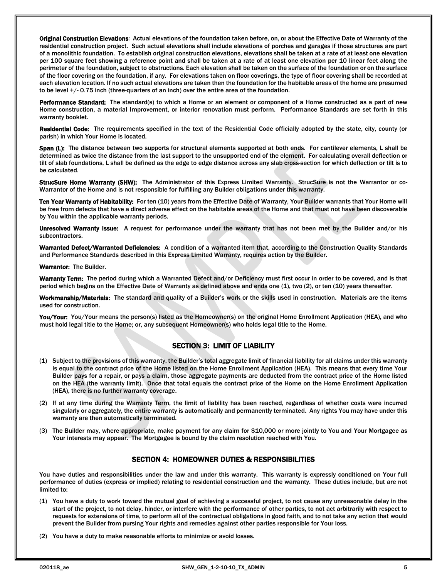Original Construction Elevations: Actual elevations of the foundation taken before, on, or about the Effective Date of Warranty of the residential construction project. Such actual elevations shall include elevations of porches and garages if those structures are part of a monolithic foundation. To establish original construction elevations, elevations shall be taken at a rate of at least one elevation per 100 square feet showing a reference point and shall be taken at a rate of at least one elevation per 10 linear feet along the perimeter of the foundation, subject to obstructions. Each elevation shall be taken on the surface of the foundation or on the surface of the floor covering on the foundation, if any. For elevations taken on floor coverings, the type of floor covering shall be recorded at each elevation location. If no such actual elevations are taken then the foundation for the habitable areas of the home are presumed to be level +/- 0.75 inch (three-quarters of an inch) over the entire area of the foundation.

Performance Standard: The standard(s) to which a Home or an element or component of a Home constructed as a part of new Home construction, a material Improvement, or interior renovation must perform. Performance Standards are set forth in this warranty booklet.

Residential Code: The requirements specified in the text of the Residential Code officially adopted by the state, city, county (or parish) in which Your Home is located.

Span (L): The distance between two supports for structural elements supported at both ends. For cantilever elements, L shall be determined as twice the distance from the last support to the unsupported end of the element. For calculating overall deflection or tilt of slab foundations, L shall be defined as the edge to edge distance across any slab cross-section for which deflection or tilt is to be calculated.

StrucSure Home Warranty (SHW): The Administrator of this Express Limited Warranty. StrucSure is not the Warrantor or co-Warrantor of the Home and is not responsible for fulfilling any Builder obligations under this warranty.

Ten Year Warranty of Habitability: For ten (10) years from the Effective Date of Warranty, Your Builder warrants that Your Home will be free from defects that have a direct adverse effect on the habitable areas of the Home and that must not have been discoverable by You within the applicable warranty periods.

Unresolved Warranty Issue: A request for performance under the warranty that has not been met by the Builder and/or his subcontractors.

Warranted Defect/Warranted Deficiencies: A condition of a warranted item that, according to the Construction Quality Standards and Performance Standards described in this Express Limited Warranty, requires action by the Builder.

#### Warrantor: The Builder.

Warranty Term: The period during which a Warranted Defect and/or Deficiency must first occur in order to be covered, and is that period which begins on the Effective Date of Warranty as defined above and ends one (1), two (2), or ten (10) years thereafter.

Workmanship/Materials: The standard and quality of a Builder's work or the skills used in construction. Materials are the items used for construction.

You/Your: You/Your means the person(s) listed as the Homeowner(s) on the original Home Enrollment Application (HEA), and who must hold legal title to the Home; or, any subsequent Homeowner(s) who holds legal title to the Home.

# SECTION 3: LIMIT OF LIABILITY

- (1) Subject to the provisions of this warranty, the Builder's total aggregate limit of financial liability for all claims under this warranty is equal to the contract price of the Home listed on the Home Enrollment Application (HEA). This means that every time Your Builder pays for a repair, or pays a claim, those aggregate payments are deducted from the contract price of the Home listed on the HEA (the warranty limit). Once that total equals the contract price of the Home on the Home Enrollment Application (HEA), there is no further warranty coverage.
- (2) If at any time during the Warranty Term, the limit of liability has been reached, regardless of whether costs were incurred singularly or aggregately, the entire warranty is automatically and permanently terminated. Any rights You may have under this warranty are then automatically terminated.
- (3) The Builder may, where appropriate, make payment for any claim for \$10,000 or more jointly to You and Your Mortgagee as Your interests may appear. The Mortgagee is bound by the claim resolution reached with You.

# SECTION 4: HOMEOWNER DUTIES & RESPONSIBILITIES

You have duties and responsibilities under the law and under this warranty. This warranty is expressly conditioned on Your full performance of duties (express or implied) relating to residential construction and the warranty. These duties include, but are not limited to:

- (1) You have a duty to work toward the mutual goal of achieving a successful project, to not cause any unreasonable delay in the start of the project, to not delay, hinder, or interfere with the performance of other parties, to not act arbitrarily with respect to requests for extensions of time, to perform all of the contractual obligations in good faith, and to not take any action that would prevent the Builder from pursing Your rights and remedies against other parties responsible for Your loss.
- (2) You have a duty to make reasonable efforts to minimize or avoid losses.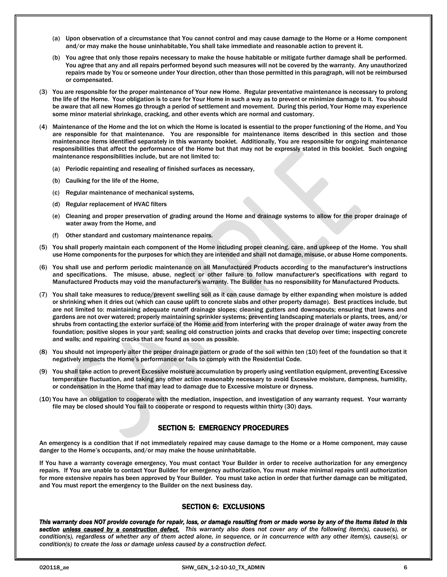- (a) Upon observation of a circumstance that You cannot control and may cause damage to the Home or a Home component and/or may make the house uninhabitable, You shall take immediate and reasonable action to prevent it.
- (b) You agree that only those repairs necessary to make the house habitable or mitigate further damage shall be performed. You agree that any and all repairs performed beyond such measures will not be covered by the warranty. Any unauthorized repairs made by You or someone under Your direction, other than those permitted in this paragraph, will not be reimbursed or compensated.
- (3) You are responsible for the proper maintenance of Your new Home. Regular preventative maintenance is necessary to prolong the life of the Home. Your obligation is to care for Your Home in such a way as to prevent or minimize damage to it. You should be aware that all new Homes go through a period of settlement and movement. During this period, Your Home may experience some minor material shrinkage, cracking, and other events which are normal and customary.
- (4) Maintenance of the Home and the lot on which the Home is located is essential to the proper functioning of the Home, and You are responsible for that maintenance. You are responsible for maintenance items described in this section and those maintenance items identified separately in this warranty booklet. Additionally, You are responsible for ongoing maintenance responsibilities that affect the performance of the Home but that may not be expressly stated in this booklet. Such ongoing maintenance responsibilities include, but are not limited to:
	- (a) Periodic repainting and resealing of finished surfaces as necessary,
	- (b) Caulking for the life of the Home,
	- (c) Regular maintenance of mechanical systems,
	- (d) Regular replacement of HVAC filters
	- (e) Cleaning and proper preservation of grading around the Home and drainage systems to allow for the proper drainage of water away from the Home, and
	- (f) Other standard and customary maintenance repairs.
- (5) You shall properly maintain each component of the Home including proper cleaning, care, and upkeep of the Home. You shall use Home components for the purposes for which they are intended and shall not damage, misuse, or abuse Home components.
- (6) You shall use and perform periodic maintenance on all Manufactured Products according to the manufacturer's instructions and specifications. The misuse, abuse, neglect or other failure to follow manufacturer's specifications with regard to Manufactured Products may void the manufacturer's warranty. The Builder has no responsibility for Manufactured Products.
- (7) You shall take measures to reduce/prevent swelling soil as it can cause damage by either expanding when moisture is added or shrinking when it dries out (which can cause uplift to concrete slabs and other property damage). Best practices include, but are not limited to: maintaining adequate runoff drainage slopes; cleaning gutters and downspouts; ensuring that lawns and gardens are not over watered; properly maintaining sprinkler systems; preventing landscaping materials or plants, trees, and/or shrubs from contacting the exterior surface of the Home and from interfering with the proper drainage of water away from the foundation; positive slopes in your yard; sealing old construction joints and cracks that develop over time; inspecting concrete and walls; and repairing cracks that are found as soon as possible.
- (8) You should not improperly alter the proper drainage pattern or grade of the soil within ten (10) feet of the foundation so that it negatively impacts the Home's performance or fails to comply with the Residential Code.
- (9) You shall take action to prevent Excessive moisture accumulation by properly using ventilation equipment, preventing Excessive temperature fluctuation, and taking any other action reasonably necessary to avoid Excessive moisture, dampness, humidity, or condensation in the Home that may lead to damage due to Excessive moisture or dryness.
- (10) You have an obligation to cooperate with the mediation, inspection, and investigation of any warranty request. Your warranty file may be closed should You fail to cooperate or respond to requests within thirty (30) days.

# SECTION 5: EMERGENCY PROCEDURES

An emergency is a condition that if not immediately repaired may cause damage to the Home or a Home component, may cause danger to the Home's occupants, and/or may make the house uninhabitable.

If You have a warranty coverage emergency, You must contact Your Builder in order to receive authorization for any emergency repairs. If You are unable to contact Your Builder for emergency authorization, You must make minimal repairs until authorization for more extensive repairs has been approved by Your Builder. You must take action in order that further damage can be mitigated, and You must report the emergency to the Builder on the next business day.

# SECTION 6: EXCLUSIONS

*This warranty does NOT provide coverage for repair, loss, or damage resulting from or made worse by any of the items listed in this section unless caused by a construction defect. This warranty also does not cover any of the following item(s), cause(s), or condition(s), regardless of whether any of them acted alone, in sequence, or in concurrence with any other item(s), cause(s), or condition(s) to create the loss or damage unless caused by a construction defect.*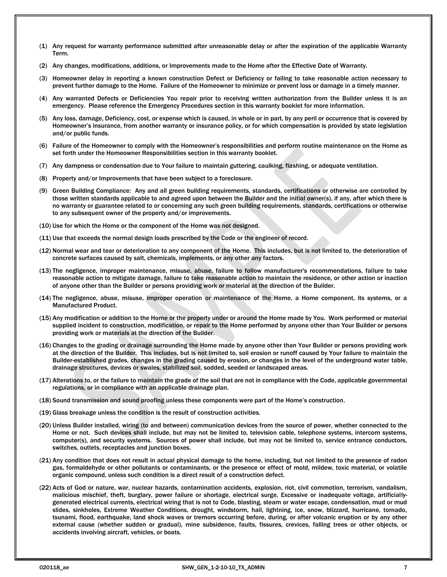- (1) Any request for warranty performance submitted after unreasonable delay or after the expiration of the applicable Warranty Term.
- (2) Any changes, modifications, additions, or Improvements made to the Home after the Effective Date of Warranty.
- (3) Homeowner delay in reporting a known construction Defect or Deficiency or failing to take reasonable action necessary to prevent further damage to the Home. Failure of the Homeowner to minimize or prevent loss or damage in a timely manner.
- (4) Any warranted Defects or Deficiencies You repair prior to receiving written authorization from the Builder unless it is an emergency. Please reference the Emergency Procedures section in this warranty booklet for more information.
- (5) Any loss, damage, Deficiency, cost, or expense which is caused, in whole or in part, by any peril or occurrence that is covered by Homeowner's insurance, from another warranty or insurance policy, or for which compensation is provided by state legislation and/or public funds.
- (6) Failure of the Homeowner to comply with the Homeowner's responsibilities and perform routine maintenance on the Home as set forth under the Homeowner Responsibilities section in this warranty booklet.
- (7) Any dampness or condensation due to Your failure to maintain guttering, caulking, flashing, or adequate ventilation.
- (8) Property and/or Improvements that have been subject to a foreclosure.
- (9) Green Building Compliance: Any and all green building requirements, standards, certifications or otherwise are controlled by those written standards applicable to and agreed upon between the Builder and the initial owner(s), if any, after which there is no warranty or guarantee related to or concerning any such green building requirements, standards, certifications or otherwise to any subsequent owner of the property and/or improvements.
- (10) Use for which the Home or the component of the Home was not designed.
- (11) Use that exceeds the normal design loads prescribed by the Code or the engineer of record.
- (12) Normal wear and tear or deterioration to any component of the Home. This includes, but is not limited to, the deterioration of concrete surfaces caused by salt, chemicals, implements, or any other any factors.
- (13) The negligence, improper maintenance, misuse, abuse, failure to follow manufacturer's recommendations, failure to take reasonable action to mitigate damage, failure to take reasonable action to maintain the residence, or other action or inaction of anyone other than the Builder or persons providing work or material at the direction of the Builder.
- (14) The negligence, abuse, misuse, improper operation or maintenance of the Home, a Home component, its systems, or a Manufactured Product.
- (15) Any modification or addition to the Home or the property under or around the Home made by You. Work performed or material supplied incident to construction, modification, or repair to the Home performed by anyone other than Your Builder or persons providing work or materials at the direction of the Builder.
- (16) Changes to the grading or drainage surrounding the Home made by anyone other than Your Builder or persons providing work at the direction of the Builder. This includes, but is not limited to, soil erosion or runoff caused by Your failure to maintain the Builder-established grades, changes in the grading caused by erosion, or changes in the level of the underground water table, drainage structures, devices or swales, stabilized soil, sodded, seeded or landscaped areas.
- (17) Alterations to, or the failure to maintain the grade of the soil that are not in compliance with the Code, applicable governmental regulations, or in compliance with an applicable drainage plan.
- (18) Sound transmission and sound proofing unless these components were part of the Home's construction.
- (19) Glass breakage unless the condition is the result of construction activities.
- (20) Unless Builder installed, wiring (to and between) communication devices from the source of power, whether connected to the Home or not. Such devices shall include, but may not be limited to, television cable, telephone systems, intercom systems, computer(s), and security systems. Sources of power shall include, but may not be limited to, service entrance conductors, switches, outlets, receptacles and junction boxes.
- (21) Any condition that does not result in actual physical damage to the home, including, but not limited to the presence of radon gas, formaldehyde or other pollutants or contaminants, or the presence or effect of mold, mildew, toxic material, or volatile organic compound, unless such condition is a direct result of a construction defect.
- (22) Acts of God or nature, war, nuclear hazards, contamination accidents, explosion, riot, civil commotion, terrorism, vandalism, malicious mischief, theft, burglary, power failure or shortage, electrical surge, Excessive or inadequate voltage, artificiallygenerated electrical currents, electrical wiring that is not to Code, blasting, steam or water escape, condensation, mud or mud slides, sinkholes, Extreme Weather Conditions, drought, windstorm, hail, lightning, ice, snow, blizzard, hurricane, tornado, tsunami, flood, earthquake, land shock waves or tremors occurring before, during, or after volcanic eruption or by any other external cause (whether sudden or gradual), mine subsidence, faults, fissures, crevices, falling trees or other objects, or accidents involving aircraft, vehicles, or boats.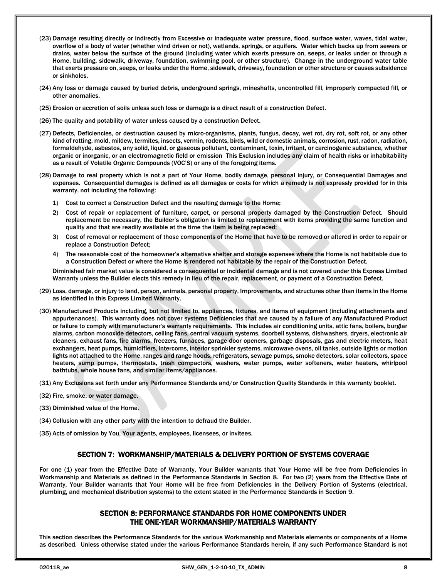- (23) Damage resulting directly or indirectly from Excessive or inadequate water pressure, flood, surface water, waves, tidal water, overflow of a body of water (whether wind driven or not), wetlands, springs, or aquifers. Water which backs up from sewers or drains, water below the surface of the ground (including water which exerts pressure on, seeps, or leaks under or through a Home, building, sidewalk, driveway, foundation, swimming pool, or other structure). Change in the underground water table that exerts pressure on, seeps, or leaks under the Home, sidewalk, driveway, foundation or other structure or causes subsidence or sinkholes.
- (24) Any loss or damage caused by buried debris, underground springs, mineshafts, uncontrolled fill, improperly compacted fill, or other anomalies.
- (25) Erosion or accretion of soils unless such loss or damage is a direct result of a construction Defect.
- (26) The quality and potability of water unless caused by a construction Defect.
- (27) Defects, Deficiencies, or destruction caused by micro-organisms, plants, fungus, decay, wet rot, dry rot, soft rot, or any other kind of rotting, mold, mildew, termites, insects, vermin, rodents, birds, wild or domestic animals, corrosion, rust, radon, radiation, formaldehyde, asbestos, any solid, liquid, or gaseous pollutant, contaminant, toxin, irritant, or carcinogenic substance, whether organic or inorganic, or an electromagnetic field or emission This Exclusion includes any claim of health risks or inhabitability as a result of Volatile Organic Compounds (VOC'S) or any of the foregoing items.
- (28) Damage to real property which is not a part of Your Home, bodily damage, personal injury, or Consequential Damages and expenses. Consequential damages is defined as all damages or costs for which a remedy is not expressly provided for in this warranty, not including the following:
	- 1) Cost to correct a Construction Defect and the resulting damage to the Home;
	- 2) Cost of repair or replacement of furniture, carpet, or personal property damaged by the Construction Defect. Should replacement be necessary, the Builder's obligation is limited to replacement with items providing the same function and quality and that are readily available at the time the item is being replaced;
	- 3) Cost of removal or replacement of those components of the Home that have to be removed or altered in order to repair or replace a Construction Defect;
	- 4) The reasonable cost of the homeowner's alternative shelter and storage expenses where the Home is not habitable due to a Construction Defect or where the Home is rendered not habitable by the repair of the Construction Defect.

Diminished fair market value is considered a consequential or incidental damage and is not covered under this Express Limited Warranty unless the Builder elects this remedy in lieu of the repair, replacement, or payment of a Construction Defect.

- (29) Loss, damage, or injury to land, person, animals, personal property, Improvements, and structures other than items in the Home as identified in this Express Limited Warranty.
- (30) Manufactured Products including, but not limited to, appliances, fixtures, and items of equipment (including attachments and appurtenances). This warranty does not cover systems Deficiencies that are caused by a failure of any Manufactured Product or failure to comply with manufacturer's warranty requirements. This includes air conditioning units, attic fans, boilers, burglar alarms, carbon monoxide detectors, ceiling fans, central vacuum systems, doorbell systems, dishwashers, dryers, electronic air cleaners, exhaust fans, fire alarms, freezers, furnaces, garage door openers, garbage disposals, gas and electric meters, heat exchangers, heat pumps, humidifiers, intercoms, interior sprinkler systems, microwave ovens, oil tanks, outside lights or motion lights not attached to the Home, ranges and range hoods, refrigerators, sewage pumps, smoke detectors, solar collectors, space heaters, sump pumps, thermostats, trash compactors, washers, water pumps, water softeners, water heaters, whirlpool bathtubs, whole house fans, and similar items/appliances.
- (31) Any Exclusions set forth under any Performance Standards and/or Construction Quality Standards in this warranty booklet.
- (32) Fire, smoke, or water damage.
- (33) Diminished value of the Home.
- (34) Collusion with any other party with the intention to defraud the Builder.
- (35) Acts of omission by You, Your agents, employees, licensees, or invitees.

# SECTION 7: WORKMANSHIP/MATERIALS & DELIVERY PORTION OF SYSTEMS COVERAGE

For one (1) year from the Effective Date of Warranty, Your Builder warrants that Your Home will be free from Deficiencies in Workmanship and Materials as defined in the Performance Standards in Section 8. For two (2) years from the Effective Date of Warranty, Your Builder warrants that Your Home will be free from Deficiencies in the Delivery Portion of Systems (electrical, plumbing, and mechanical distribution systems) to the extent stated in the Performance Standards in Section 9.

# SECTION 8: PERFORMANCE STANDARDS FOR HOME COMPONENTS UNDER THE ONE-YEAR WORKMANSHIP/MATERIALS WARRANTY

This section describes the Performance Standards for the various Workmanship and Materials elements or components of a Home as described. Unless otherwise stated under the various Performance Standards herein, if any such Performance Standard is not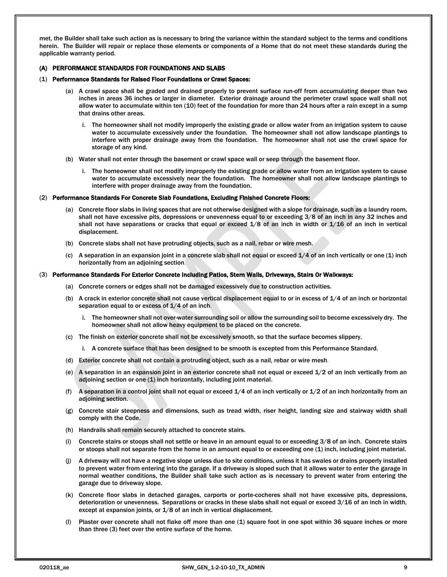met, the Builder shall take such action as is necessary to bring the variance within the standard subject to the terms and conditions herein. The Builder will repair or replace those elements or components of a Home that do not meet these standards during the applicable warranty period.

# (A) PERFORMANCE STANDARDS FOR FOUNDATIONS AND SLABS

#### (1) Performance Standards for Raised Floor Foundations or Crawl Spaces:

- (a) A crawl space shall be graded and drained properly to prevent surface run-off from accumulating deeper than two inches in areas 36 inches or larger in diameter. Exterior drainage around the perimeter crawl space wall shall not allow water to accumulate within ten (10) feet of the foundation for more than 24 hours after a rain except in a sump that drains other areas.
	- i. The homeowner shall not modify improperly the existing grade or allow water from an irrigation system to cause water to accumulate excessively under the foundation. The homeowner shall not allow landscape plantings to interfere with proper drainage away from the foundation. The homeowner shall not use the crawl space for storage of any kind.
- (b) Water shall not enter through the basement or crawl space wall or seep through the basement floor.
	- i. The homeowner shall not modify improperly the existing grade or allow water from an irrigation system to cause water to accumulate excessively near the foundation. The homeowner shall not allow landscape plantings to interfere with proper drainage away from the foundation.

#### (2) Performance Standards For Concrete Slab Foundations, Excluding Finished Concrete Floors:

- (a) Concrete floor slabs in living spaces that are not otherwise designed with a slope for drainage, such as a laundry room, shall not have excessive pits, depressions or unevenness equal to or exceeding 3/8 of an inch in any 32 inches and shall not have separations or cracks that equal or exceed 1/8 of an inch in width or 1/16 of an inch in vertical displacement.
- (b) Concrete slabs shall not have protruding objects, such as a nail, rebar or wire mesh.
- (c) A separation in an expansion joint in a concrete slab shall not equal or exceed 1/4 of an inch vertically or one (1) inch horizontally from an adjoining section*.*

#### (3) Performance Standards For Exterior Concrete Including Patios, Stem Walls, Driveways, Stairs Or Walkways:

- (a) Concrete corners or edges shall not be damaged excessively due to construction activities.
- (b) A crack in exterior concrete shall not cause vertical displacement equal to or in excess of  $1/4$  of an inch or horizontal separation equal to or excess of  $1/4$  of an inch.
	- i. The homeowner shall not over-water surrounding soil or allow the surrounding soil to become excessively dry. The homeowner shall not allow heavy equipment to be placed on the concrete.
- (c) The finish on exterior concrete shall not be excessively smooth, so that the surface becomes slippery.
	- i. A concrete surface that has been designed to be smooth is excepted from this Performance Standard.
- (d) Exterior concrete shall not contain a protruding object, such as a nail, rebar or wire mesh*.*
- (e) A separation in an expansion joint in an exterior concrete shall not equal or exceed 1/2 of an inch vertically from an adjoining section or one (1) inch horizontally, including joint material.
- (f) A separation in a control joint shall not equal or exceed  $1/4$  of an inch vertically or  $1/2$  of an inch horizontally from an adjoining section.
- (g) Concrete stair steepness and dimensions, such as tread width, riser height, landing size and stairway width shall comply with the Code.
- (h) Handrails shall remain securely attached to concrete stairs.
- (i) Concrete stairs or stoops shall not settle or heave in an amount equal to or exceeding 3/8 of an inch. Concrete stairs or stoops shall not separate from the home in an amount equal to or exceeding one (1) inch, including joint material.
- (j) A driveway will not have a negative slope unless due to site conditions, unless it has swales or drains properly installed to prevent water from entering into the garage. If a driveway is sloped such that it allows water to enter the garage in normal weather conditions, the Builder shall take such action as is necessary to prevent water from entering the garage due to driveway slope.
- (k) Concrete floor slabs in detached garages, carports or porte-cocheres shall not have excessive pits, depressions, deterioration or unevenness. Separations or cracks in these slabs shall not equal or exceed 3/16 of an inch in width, except at expansion joints, or  $1/8$  of an inch in vertical displacement.
- (l) Plaster over concrete shall not flake off more than one (1) square foot in one spot within 36 square inches or more than three (3) feet over the entire surface of the home.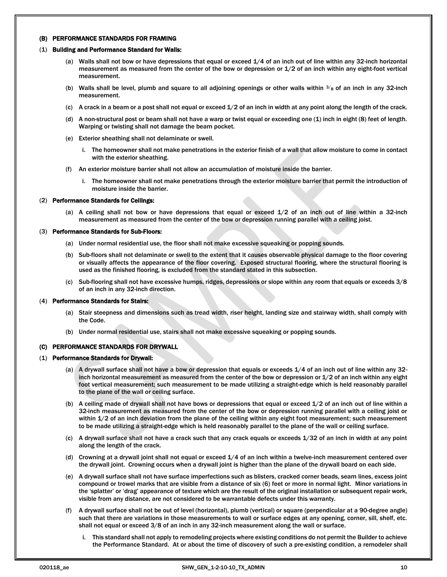## (B) PERFORMANCE STANDARDS FOR FRAMING

#### (1) Building and Performance Standard for Walls:

- (a) Walls shall not bow or have depressions that equal or exceed 1/4 of an inch out of line within any 32-inch horizontal measurement as measured from the center of the bow or depression or 1/2 of an inch within any eight-foot vertical measurement.
- (b) Walls shall be level, plumb and square to all adjoining openings or other walls within  $3/8$  of an inch in any 32-inch measurement.
- (c) A crack in a beam or a post shall not equal or exceed 1/2 of an inch in width at any point along the length of the crack.
- (d) A non-structural post or beam shall not have a warp or twist equal or exceeding one (1) inch in eight (8) feet of length. Warping or twisting shall not damage the beam pocket.
- (e) Exterior sheathing shall not delaminate or swell.
	- i. The homeowner shall not make penetrations in the exterior finish of a wall that allow moisture to come in contact with the exterior sheathing.
- (f) An exterior moisture barrier shall not allow an accumulation of moisture inside the barrier.
	- i. The homeowner shall not make penetrations through the exterior moisture barrier that permit the introduction of moisture inside the barrier.

## (2) Performance Standards for Ceilings:

(a) A ceiling shall not bow or have depressions that equal or exceed 1/2 of an inch out of line within a 32-inch measurement as measured from the center of the bow or depression running parallel with a ceiling joist.

## (3) Performance Standards for Sub-Floors:

- (a) Under normal residential use, the floor shall not make excessive squeaking or popping sounds.
- (b) Sub-floors shall not delaminate or swell to the extent that it causes observable physical damage to the floor covering or visually affects the appearance of the floor covering. Exposed structural flooring, where the structural flooring is used as the finished flooring, is excluded from the standard stated in this subsection.
- (c) Sub-flooring shall not have excessive humps, ridges, depressions or slope within any room that equals or exceeds 3/8 of an inch in any 32-inch direction.

#### (4) Performance Standards for Stairs:

- (a) Stair steepness and dimensions such as tread width, riser height, landing size and stairway width, shall comply with the Code.
- (b) Under normal residential use, stairs shall not make excessive squeaking or popping sounds.

# (C) PERFORMAN*C*E STANDARDS FOR DRYWALL

# (1) Performance Standards for Drywall:

- (a) A drywall surface shall not have a bow or depression that equals or exceeds 1/4 of an inch out of line within any 32 inch horizontal measurement as measured from the center of the bow or depression or 1/2 of an inch within any eight foot vertical measurement; such measurement to be made utilizing a straight-edge which is held reasonably parallel to the plane of the wall or ceiling surface.
- (b) A ceiling made of drywall shall not have bows or depressions that equal or exceed 1/2 of an inch out of line within a 32-inch measurement as measured from the center of the bow or depression running parallel with a ceiling joist or within 1/2 of an inch deviation from the plane of the ceiling within any eight foot measurement; such measurement to be made utilizing a straight-edge which is held reasonably parallel to the plane of the wall or ceiling surface.
- (c) A drywall surface shall not have a crack such that any crack equals or exceeds 1/32 of an inch in width at any point along the length of the crack.
- (d) Crowning at a drywall joint shall not equal or exceed 1/4 of an inch within a twelve-inch measurement centered over the drywall joint. Crowning occurs when a drywall joint is higher than the plane of the drywall board on each side.
- (e) A drywall surface shall not have surface imperfections such as blisters, cracked corner beads, seam lines, excess joint compound or trowel marks that are visible from a distance of six (6) feet or more in normal light. Minor variations in the 'splatter' or 'drag' appearance of texture which are the result of the original installation or subsequent repair work, visible from any distance, are not considered to be warrantable defects under this warranty.
- (f) A drywall surface shall not be out of level (horizontal), plumb (vertical) or square (perpendicular at a 90-degree angle) such that there are variations in those measurements to wall or surface edges at any opening, corner, sill, shelf, etc. shall not equal or exceed 3/8 of an inch in any 32-inch measurement along the wall or surface.
	- i. This standard shall not apply to remodeling projects where existing conditions do not permit the Builder to achieve the Performance Standard. At or about the time of discovery of such a pre-existing condition, a remodeler shall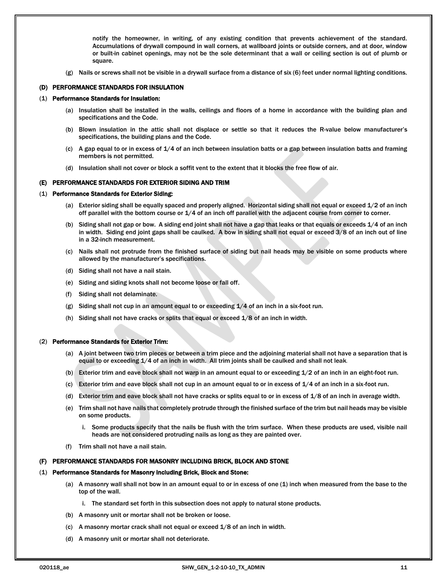notify the homeowner, in writing, of any existing condition that prevents achievement of the standard. Accumulations of drywall compound in wall corners, at wallboard joints or outside corners, and at door, window or built-in cabinet openings, may not be the sole determinant that a wall or ceiling section is out of plumb or square.

(g) Nails or screws shall not be visible in a drywall surface from a distance of six (6) feet under normal lighting conditions.

## (D) PERFORMANCE STANDARDS FOR INSULATION

#### (1) Performance Standards for Insulation:

- (a) Insulation shall be installed in the walls, ceilings and floors of a home in accordance with the building plan and specifications and the Code.
- (b) Blown insulation in the attic shall not displace or settle so that it reduces the R-value below manufacturer's specifications, the building plans and the Code.
- (c) A gap equal to or in excess of 1/4 of an inch between insulation batts or a gap between insulation batts and framing members is not permitted.
- (d) Insulation shall not cover or block a soffit vent to the extent that it blocks the free flow of air.

#### (E) PERFORMANCE STANDARDS FOR EXTERIOR SIDING AND TRIM

#### (1) Performance Standards for Exterior Siding:

- (a) Exterior siding shall be equally spaced and properly aligned. Horizontal siding shall not equal or exceed 1/2 of an inch off parallel with the bottom course or 1/4 of an inch off parallel with the adjacent course from corner to corner.
- (b) Siding shall not gap or bow. A siding end joint shall not have a gap that leaks or that equals or exceeds 1/4 of an inch in width. Siding end joint gaps shall be caulked. A bow in siding shall not equal or exceed 3/8 of an inch out of line in a 32-inch measurement.
- (c) Nails shall not protrude from the finished surface of siding but nail heads may be visible on some products where allowed by the manufacturer's specifications.
- (d) Siding shall not have a nail stain.
- (e) Siding and siding knots shall not become loose or fall off.
- (f) Siding shall not delaminate.
- (g) Siding shall not cup in an amount equal to or exceeding  $1/4$  of an inch in a six-foot run.
- (h) Siding shall not have cracks or splits that equal or exceed 1/8 of an inch in width.

#### (2) Performance Standards for Exterior Trim:

- (a) A joint between two trim pieces or between a trim piece and the adjoining material shall not have a separation that is equal to or exceeding 1/4 of an inch in width. All trim joints shall be caulked and shall not leak*.*
- (b) Exterior trim and eave block shall not warp in an amount equal to or exceeding 1/2 of an inch in an eight-foot run.
- (c) Exterior trim and eave block shall not cup in an amount equal to or in excess of 1/4 of an inch in a six-foot run.
- (d) Exterior trim and eave block shall not have cracks or splits equal to or in excess of 1/8 of an inch in average width.
- (e) Trim shall not have nails that completely protrude through the finished surface of the trim but nail heads may be visible on some products.
	- i. Some products specify that the nails be flush with the trim surface. When these products are used, visible nail heads are not considered protruding nails as long as they are painted over.
- (f) Trim shall not have a nail stain.

#### (F) PERFORMANCE STANDARDS FOR MASONRY INCLUDING BRICK, BLOCK AND STONE

#### (1) Performance Standards for Masonry including Brick, Block and Stone:

- (a) A masonry wall shall not bow in an amount equal to or in excess of one (1) inch when measured from the base to the top of the wall.
	- i. The standard set forth in this subsection does not apply to natural stone products.
- (b) A masonry unit or mortar shall not be broken or loose.
- (c) A masonry mortar crack shall not equal or exceed 1/8 of an inch in width.
- (d) A masonry unit or mortar shall not deteriorate.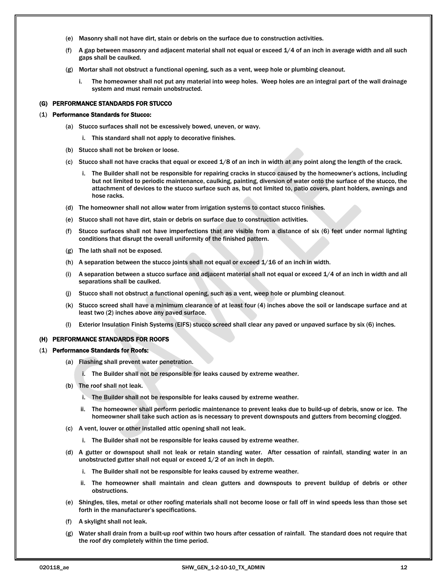- (e) Masonry shall not have dirt, stain or debris on the surface due to construction activities.
- (f) A gap between masonry and adjacent material shall not equal or exceed  $1/4$  of an inch in average width and all such gaps shall be caulked.
- (g) Mortar shall not obstruct a functional opening, such as a vent, weep hole or plumbing cleanout.
	- i. The homeowner shall not put any material into weep holes. Weep holes are an integral part of the wall drainage system and must remain unobstructed.

# (G) PERFORMANCE STANDARDS FOR STUCCO

#### (1) Performance Standards for Stucco:

- (a) Stucco surfaces shall not be excessively bowed, uneven, or wavy.
	- i. This standard shall not apply to decorative finishes.
- (b) Stucco shall not be broken or loose.
- (c) Stucco shall not have cracks that equal or exceed 1/8 of an inch in width at any point along the length of the crack.
	- i. The Builder shall not be responsible for repairing cracks in stucco caused by the homeowner's actions, including but not limited to periodic maintenance, caulking, painting, diversion of water onto the surface of the stucco, the attachment of devices to the stucco surface such as, but not limited to, patio covers, plant holders, awnings and hose racks.
- (d) The homeowner shall not allow water from irrigation systems to contact stucco finishes.
- (e) Stucco shall not have dirt, stain or debris on surface due to construction activities.
- (f) Stucco surfaces shall not have imperfections that are visible from a distance of six (6) feet under normal lighting conditions that disrupt the overall uniformity of the finished pattern.
- (g) The lath shall not be exposed.
- (h) A separation between the stucco joints shall not equal or exceed 1/16 of an inch in width.
- (i) A separation between a stucco surface and adjacent material shall not equal or exceed 1/4 of an inch in width and all separations shall be caulked.
- (j) Stucco shall not obstruct a functional opening, such as a vent, weep hole or plumbing cleanout*.*
- (k) Stucco screed shall have a minimum clearance of at least four (4) inches above the soil or landscape surface and at least two (2) inches above any paved surface.
- (l) Exterior Insulation Finish Systems (EIFS) stucco screed shall clear any paved or unpaved surface by six (6) inches.

# (H) PERFORMANCE STANDARDS FOR ROOFS

## (1) Performance Standards for Roofs:

- (a) Flashing shall prevent water penetration.
	- i. The Builder shall not be responsible for leaks caused by extreme weather.
- (b) The roof shall not leak.
	- i. The Builder shall not be responsible for leaks caused by extreme weather.
	- ii. The homeowner shall perform periodic maintenance to prevent leaks due to build-up of debris, snow or ice. The homeowner shall take such action as is necessary to prevent downspouts and gutters from becoming clogged.
- (c) A vent, louver or other installed attic opening shall not leak.
	- i. The Builder shall not be responsible for leaks caused by extreme weather.
- (d) A gutter or downspout shall not leak or retain standing water. After cessation of rainfall, standing water in an unobstructed gutter shall not equal or exceed  $1/2$  of an inch in depth.
	- i. The Builder shall not be responsible for leaks caused by extreme weather.
	- ii. The homeowner shall maintain and clean gutters and downspouts to prevent buildup of debris or other obstructions.
- (e) Shingles, tiles, metal or other roofing materials shall not become loose or fall off in wind speeds less than those set forth in the manufacturer's specifications.
- (f) A skylight shall not leak.
- (g) Water shall drain from a built-up roof within two hours after cessation of rainfall. The standard does not require that the roof dry completely within the time period.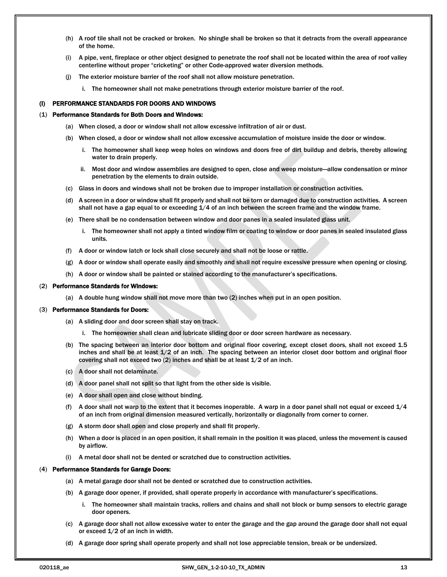- (h) A roof tile shall not be cracked or broken. No shingle shall be broken so that it detracts from the overall appearance of the home.
- (i) A pipe, vent, fireplace or other object designed to penetrate the roof shall not be located within the area of roof valley centerline without proper "cricketing" or other Code-approved water diversion methods.
- (j) The exterior moisture barrier of the roof shall not allow moisture penetration.
	- i. The homeowner shall not make penetrations through exterior moisture barrier of the roof.

#### (I) PERFORMANCE STANDARDS FOR DOORS AND WINDOWS

#### (1) Performance Standards for Both Doors and Windows:

- (a) When closed, a door or window shall not allow excessive infiltration of air or dust.
- (b) When closed, a door or window shall not allow excessive accumulation of moisture inside the door or window.
	- i. The homeowner shall keep weep holes on windows and doors free of dirt buildup and debris, thereby allowing water to drain properly.
	- ii. Most door and window assemblies are designed to open, close and weep moisture—allow condensation or minor penetration by the elements to drain outside.
- (c) Glass in doors and windows shall not be broken due to improper installation or construction activities.
- (d) A screen in a door or window shall fit properly and shall not be torn or damaged due to construction activities. A screen shall not have a gap equal to or exceeding 1/4 of an inch between the screen frame and the window frame.
- (e) There shall be no condensation between window and door panes in a sealed insulated glass unit.
	- i. The homeowner shall not apply a tinted window film or coating to window or door panes in sealed insulated glass units.
- (f) A door or window latch or lock shall close securely and shall not be loose or rattle.
- (g) A door or window shall operate easily and smoothly and shall not require excessive pressure when opening or closing.
- (h) A door or window shall be painted or stained according to the manufacturer's specifications.

#### (2) Performance Standards for Windows:

(a) A double hung window shall not move more than two (2) inches when put in an open position.

#### (3) Performance Standards for Doors:

- (a) A sliding door and door screen shall stay on track.
	- i. The homeowner shall clean and lubricate sliding door or door screen hardware as necessary.
- (b) The spacing between an interior door bottom and original floor covering, except closet doors, shall not exceed 1.5 inches and shall be at least 1/2 of an inch. The spacing between an interior closet door bottom and original floor covering shall not exceed two (2) inches and shall be at least 1/2 of an inch.
- (c) A door shall not delaminate.
- (d) A door panel shall not split so that light from the other side is visible.
- (e) A door shall open and close without binding.
- (f) A door shall not warp to the extent that it becomes inoperable. A warp in a door panel shall not equal or exceed  $1/4$ of an inch from original dimension measured vertically, horizontally or diagonally from corner to corner.
- (g) A storm door shall open and close properly and shall fit properly.
- (h) When a door is placed in an open position, it shall remain in the position it was placed, unless the movement is caused by airflow.
- (i) A metal door shall not be dented or scratched due to construction activities.

## (4) Performance Standards for Garage Doors:

- (a) A metal garage door shall not be dented or scratched due to construction activities.
- (b) A garage door opener, if provided, shall operate properly in accordance with manufacturer's specifications.
	- i. The homeowner shall maintain tracks, rollers and chains and shall not block or bump sensors to electric garage door openers.
- (c) A garage door shall not allow excessive water to enter the garage and the gap around the garage door shall not equal or exceed 1/2 of an inch in width.
- (d) A garage door spring shall operate properly and shall not lose appreciable tension, break or be undersized.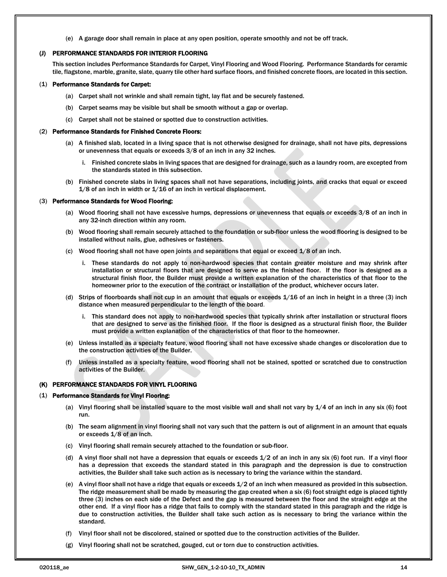(e) A garage door shall remain in place at any open position, operate smoothly and not be off track.

# (J) PERFORMANCE STANDARDS FOR INTERIOR FLOORING

This section includes Performance Standards for Carpet, Vinyl Flooring and Wood Flooring. Performance Standards for ceramic tile, flagstone, marble, granite, slate, quarry tile other hard surface floors, and finished concrete floors, are located in this section.

# (1) Performance Standards for Carpet:

- (a) Carpet shall not wrinkle and shall remain tight, lay flat and be securely fastened.
- (b) Carpet seams may be visible but shall be smooth without a gap or overlap.
- (c) Carpet shall not be stained or spotted due to construction activities.

## (2) Performance Standards for Finished Concrete Floors:

- (a) A finished slab, located in a living space that is not otherwise designed for drainage, shall not have pits, depressions or unevenness that equals or exceeds 3/8 of an inch in any 32 inches.
	- i. Finished concrete slabs in living spaces that are designed for drainage, such as a laundry room, are excepted from the standards stated in this subsection.
- (b) Finished concrete slabs in living spaces shall not have separations, including joints, and cracks that equal or exceed  $1/8$  of an inch in width or  $1/16$  of an inch in vertical displacement.

# (3) Performance Standards for Wood Flooring:

- (a) Wood flooring shall not have excessive humps, depressions or unevenness that equals or exceeds 3/8 of an inch in any 32-inch direction within any room.
- (b) Wood flooring shall remain securely attached to the foundation or sub-floor unless the wood flooring is designed to be installed without nails, glue, adhesives or fasteners.
- (c) Wood flooring shall not have open joints and separations that equal or exceed 1/8 of an inch.
	- i. These standards do not apply to non-hardwood species that contain greater moisture and may shrink after installation or structural floors that are designed to serve as the finished floor. If the floor is designed as a structural finish floor, the Builder must provide a written explanation of the characteristics of that floor to the homeowner prior to the execution of the contract or installation of the product, whichever occurs later.
- (d) Strips of floorboards shall not cup in an amount that equals or exceeds 1/16 of an inch in height in a three (3) inch distance when measured perpendicular to the length of the board.
	- i. This standard does not apply to non-hardwood species that typically shrink after installation or structural floors that are designed to serve as the finished floor. If the floor is designed as a structural finish floor, the Builder must provide a written explanation of the characteristics of that floor to the homeowner.
- (e) Unless installed as a specialty feature, wood flooring shall not have excessive shade changes or discoloration due to the construction activities of the Builder.
- (f) Unless installed as a specialty feature, wood flooring shall not be stained, spotted or scratched due to construction activities of the Builder.

# (K) PERFORMANCE STANDARDS FOR VINYL FLOORING

# (1) Performance Standards for Vinyl Flooring:

- (a) Vinyl flooring shall be installed square to the most visible wall and shall not vary by 1/4 of an inch in any six (6) foot run.
- (b) The seam alignment in vinyl flooring shall not vary such that the pattern is out of alignment in an amount that equals or exceeds 1/8 of an inch.
- (c) Vinyl flooring shall remain securely attached to the foundation or sub-floor.
- (d) A vinyl floor shall not have a depression that equals or exceeds 1/2 of an inch in any six (6) foot run. If a vinyl floor has a depression that exceeds the standard stated in this paragraph and the depression is due to construction activities, the Builder shall take such action as is necessary to bring the variance within the standard.
- (e) A vinyl floor shall not have a ridge that equals or exceeds 1/2 of an inch when measured as provided in this subsection. The ridge measurement shall be made by measuring the gap created when a six (6) foot straight edge is placed tightly three (3) inches on each side of the Defect and the gap is measured between the floor and the straight edge at the other end. If a vinyl floor has a ridge that fails to comply with the standard stated in this paragraph and the ridge is due to construction activities, the Builder shall take such action as is necessary to bring the variance within the standard.
- (f) Vinyl floor shall not be discolored, stained or spotted due to the construction activities of the Builder.
- (g) Vinyl flooring shall not be scratched, gouged, cut or torn due to construction activities.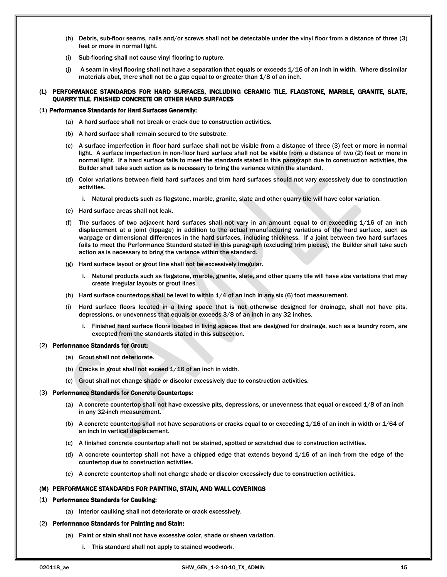- (h) Debris, sub-floor seams, nails and/or screws shall not be detectable under the vinyl floor from a distance of three (3) feet or more in normal light.
- (i) Sub-flooring shall not cause vinyl flooring to rupture.
- (j) A seam in vinyl flooring shall not have a separation that equals or exceeds 1/16 of an inch in width. Where dissimilar materials abut, there shall not be a gap equal to or greater than  $1/8$  of an inch.

# (L) PERFORMANCE STANDARDS FOR HARD SURFACES, INCLUDING CERAMIC TILE, FLAGSTONE, MARBLE, GRANITE, SLATE, QUARRY TILE, FINISHED CONCRETE OR OTHER HARD SURFACES

## (1) Performance Standards for Hard Surfaces Generally:

- (a) A hard surface shall not break or crack due to construction activities.
- (b) A hard surface shall remain secured to the substrate.
- (c) A surface imperfection in floor hard surface shall not be visible from a distance of three (3) feet or more in normal light. A surface imperfection in non-floor hard surface shall not be visible from a distance of two (2) feet or more in normal light. If a hard surface fails to meet the standards stated in this paragraph due to construction activities, the Builder shall take such action as is necessary to bring the variance within the standard.
- (d) Color variations between field hard surfaces and trim hard surfaces should not vary excessively due to construction activities.
	- i. Natural products such as flagstone, marble, granite, slate and other quarry tile will have color variation.
- (e) Hard surface areas shall not leak.
- (f) The surfaces of two adjacent hard surfaces shall not vary in an amount equal to or exceeding  $1/16$  of an inch displacement at a joint (lippage) in addition to the actual manufacturing variations of the hard surface, such as warpage or dimensional differences in the hard surfaces, including thickness. If a joint between two hard surfaces fails to meet the Performance Standard stated in this paragraph (excluding trim pieces), the Builder shall take such action as is necessary to bring the variance within the standard.
- (g) Hard surface layout or grout line shall not be excessively irregular.
	- i. Natural products such as flagstone, marble, granite, slate, and other quarry tile will have size variations that may create irregular layouts or grout lines.
- (h) Hard surface countertops shall be level to within 1/4 of an inch in any six (6) foot measurement.
- (i) Hard surface floors located in a living space that is not otherwise designed for drainage, shall not have pits, depressions, or unevenness that equals or exceeds 3/8 of an inch in any 32 inches.
	- i. Finished hard surface floors located in living spaces that are designed for drainage, such as a laundry room, are excepted from the standards stated in this subsection.

# (2) Performance Standards for Grout:

- (a) Grout shall not deteriorate.
- (b) Cracks in grout shall not exceed  $1/16$  of an inch in width.
- (c) Grout shall not change shade or discolor excessively due to construction activities.

# (3) Performance Standards for Concrete Countertops:

- (a) A concrete countertop shall not have excessive pits, depressions, or unevenness that equal or exceed  $1/8$  of an inch in any 32-inch measurement.
- (b) A concrete countertop shall not have separations or cracks equal to or exceeding  $1/16$  of an inch in width or  $1/64$  of an inch in vertical displacement.
- (c) A finished concrete countertop shall not be stained, spotted or scratched due to construction activities.
- (d) A concrete countertop shall not have a chipped edge that extends beyond 1/16 of an inch from the edge of the countertop due to construction activities.
- (e) A concrete countertop shall not change shade or discolor excessively due to construction activities.

# (M) PERFORMANCE STANDARDS FOR PAINTING, STAIN, AND WALL COVERINGS

# (1) Performance Standards for Caulking:

(a) Interior caulking shall not deteriorate or crack excessively.

#### (2) Performance Standards for Painting and Stain:

- (a) Paint or stain shall not have excessive color, shade or sheen variation.
	- i. This standard shall not apply to stained woodwork.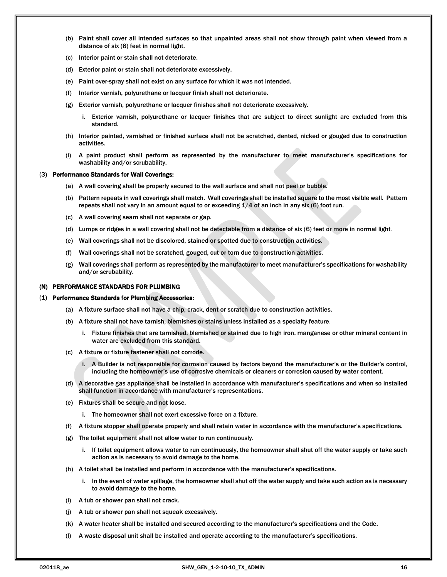- (b) Paint shall cover all intended surfaces so that unpainted areas shall not show through paint when viewed from a distance of six (6) feet in normal light.
- (c) Interior paint or stain shall not deteriorate.
- (d) Exterior paint or stain shall not deteriorate excessively.
- (e) Paint over-spray shall not exist on any surface for which it was not intended.
- (f) Interior varnish, polyurethane or lacquer finish shall not deteriorate.
- (g) Exterior varnish, polyurethane or lacquer finishes shall not deteriorate excessively.
	- i. Exterior varnish, polyurethane or lacquer finishes that are subject to direct sunlight are excluded from this standard.
- (h) Interior painted, varnished or finished surface shall not be scratched, dented, nicked or gouged due to construction activities.
- (i) A paint product shall perform as represented by the manufacturer to meet manufacturer's specifications for washability and/or scrubability.

#### (3) Performance Standards for Wall Coverings:

- (a) A wall covering shall be properly secured to the wall surface and shall not peel or bubble.
- (b) Pattern repeats in wall coverings shall match. Wall coverings shall be installed square to the most visible wall. Pattern repeats shall not vary in an amount equal to or exceeding 1/4 of an inch in any six (6) foot run.
- (c) A wall covering seam shall not separate or gap.
- (d) Lumps or ridges in a wall covering shall not be detectable from a distance of six (6) feet or more in normal light*.*
- (e) Wall coverings shall not be discolored, stained or spotted due to construction activities.
- (f) Wall coverings shall not be scratched, gouged, cut or torn due to construction activities.
- (g) Wall coverings shall perform as represented by the manufacturer to meet manufacturer's specifications for washability and/or scrubability.

#### (N) PERFORMANCE STANDARDS FOR PLUMBING

#### (1) Performance Standards for Plumbing Accessories:

- (a) A fixture surface shall not have a chip, crack, dent or scratch due to construction activities.
- (b) A fixture shall not have tarnish, blemishes or stains unless installed as a specialty feature*.* 
	- i. Fixture finishes that are tarnished, blemished or stained due to high iron, manganese or other mineral content in water are excluded from this standard.
- (c) A fixture or fixture fastener shall not corrode.
	- i. A Builder is not responsible for corrosion caused by factors beyond the manufacturer's or the Builder's control, including the homeowner's use of corrosive chemicals or cleaners or corrosion caused by water content.
- (d) A decorative gas appliance shall be installed in accordance with manufacturer's specifications and when so installed shall function in accordance with manufacturer's representations.
- (e) Fixtures shall be secure and not loose.
	- i. The homeowner shall not exert excessive force on a fixture.
- (f) A fixture stopper shall operate properly and shall retain water in accordance with the manufacturer's specifications.
- (g) The toilet equipment shall not allow water to run continuously.
	- i. If toilet equipment allows water to run continuously, the homeowner shall shut off the water supply or take such action as is necessary to avoid damage to the home.
- (h) A toilet shall be installed and perform in accordance with the manufacturer's specifications.
	- i. In the event of water spillage, the homeowner shall shut off the water supply and take such action as is necessary to avoid damage to the home.
- (i) A tub or shower pan shall not crack.
- (j) A tub or shower pan shall not squeak excessively.
- (k) A water heater shall be installed and secured according to the manufacturer's specifications and the Code.
- (l) A waste disposal unit shall be installed and operate according to the manufacturer's specifications.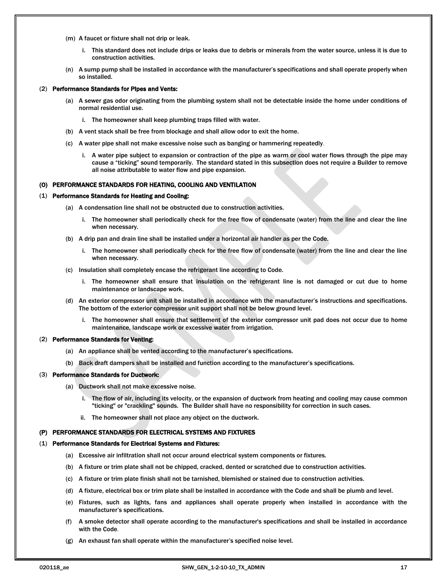- (m) A faucet or fixture shall not drip or leak.
	- i. This standard does not include drips or leaks due to debris or minerals from the water source, unless it is due to construction activities.
- (n) A sump pump shall be installed in accordance with the manufacturer's specifications and shall operate properly when so installed.

#### (2) Performance Standards for Pipes and Vents:

- (a) A sewer gas odor originating from the plumbing system shall not be detectable inside the home under conditions of normal residential use.
	- i. The homeowner shall keep plumbing traps filled with water.
- (b) A vent stack shall be free from blockage and shall allow odor to exit the home.
- (c) A water pipe shall not make excessive noise such as banging or hammering repeatedly.
	- i. A water pipe subject to expansion or contraction of the pipe as warm or cool water flows through the pipe may cause a "ticking" sound temporarily. The standard stated in this subsection does not require a Builder to remove all noise attributable to water flow and pipe expansion.

#### (O) PERFORMANCE STANDARDS FOR HEATING, COOLING AND VENTILATION

#### (1) Performance Standards for Heating and Cooling:

- (a) A condensation line shall not be obstructed due to construction activities.
	- i. The homeowner shall periodically check for the free flow of condensate (water) from the line and clear the line when necessary.
- (b) A drip pan and drain line shall be installed under a horizontal air handler as per the Code.
	- i. The homeowner shall periodically check for the free flow of condensate (water) from the line and clear the line when necessary.
- (c) Insulation shall completely encase the refrigerant line according to Code.
	- i. The homeowner shall ensure that insulation on the refrigerant line is not damaged or cut due to home maintenance or landscape work.
- (d) An exterior compressor unit shall be installed in accordance with the manufacturer's instructions and specifications. The bottom of the exterior compressor unit support shall not be below ground level.
	- i. The homeowner shall ensure that settlement of the exterior compressor unit pad does not occur due to home maintenance, landscape work or excessive water from irrigation.

#### (2) Performance Standards for Venting:

- (a) An appliance shall be vented according to the manufacturer's specifications.
- (b) Back draft dampers shall be installed and function according to the manufacturer's specifications.

#### (3) Performance Standards for Ductwork:

- (a) Ductwork shall not make excessive noise.
	- i. The flow of air, including its velocity, or the expansion of ductwork from heating and cooling may cause common "ticking" or "crackling" sounds. The Builder shall have no responsibility for correction in such cases.
	- ii. The homeowner shall not place any object on the ductwork.

#### (P) PERFORMANCE STANDARDS FOR ELECTRICAL SYSTEMS AND FIXTURES

#### (1) Performance Standards for Electrical Systems and Fixtures:

- (a) Excessive air infiltration shall not occur around electrical system components or fixtures.
- (b) A fixture or trim plate shall not be chipped, cracked, dented or scratched due to construction activities.
- (c) A fixture or trim plate finish shall not be tarnished, blemished or stained due to construction activities.
- (d) A fixture, electrical box or trim plate shall be installed in accordance with the Code and shall be plumb and level.
- (e) Fixtures, such as lights, fans and appliances shall operate properly when installed in accordance with the manufacturer's specifications.
- (f) A smoke detector shall operate according to the manufacturer's specifications and shall be installed in accordance with the Code*.*
- (g) An exhaust fan shall operate within the manufacturer's specified noise level.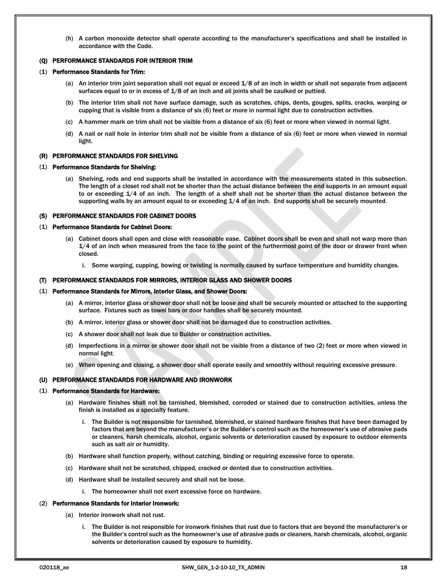(h) A carbon monoxide detector shall operate according to the manufacturer's specifications and shall be installed in accordance with the Code.

# (Q) PERFORMANCE STANDARDS FOR INTERIOR TRIM

# (1) Performance Standards for Trim:

- (a) An interior trim joint separation shall not equal or exceed 1/8 of an inch in width or shall not separate from adjacent surfaces equal to or in excess of 1/8 of an inch and all joints shall be caulked or puttied.
- (b) The interior trim shall not have surface damage, such as scratches, chips, dents, gouges, splits, cracks, warping or cupping that is visible from a distance of six (6) feet or more in normal light due to construction activities*.*
- (c) A hammer mark on trim shall not be visible from a distance of six (6) feet or more when viewed in normal light.
- (d) A nail or nail hole in interior trim shall not be visible from a distance of six (6) feet or more when viewed in normal light.

# (R) PERFORMANCE STANDARDS FOR SHELVING

## (1) Performance Standards for Shelving:

(a) Shelving, rods and end supports shall be installed in accordance with the measurements stated in this subsection. The length of a closet rod shall not be shorter than the actual distance between the end supports in an amount equal to or exceeding 1/4 of an inch. The length of a shelf shall not be shorter than the actual distance between the supporting walls by an amount equal to or exceeding 1/4 of an inch. End supports shall be securely mounted.

## (S) PERFORMANCE STANDARDS FOR CABINET DOORS

## (1) Performance Standards for Cabinet Doors:

- (a) Cabinet doors shall open and close with reasonable ease. Cabinet doors shall be even and shall not warp more than 1/4 of an inch when measured from the face to the point of the furthermost point of the door or drawer front when closed.
	- i. Some warping, cupping, bowing or twisting is normally caused by surface temperature and humidity changes.

#### (T) PERFORMANCE STANDARDS FOR MIRRORS, INTERIOR GLASS AND SHOWER DOORS

#### (1) Performance Standards for Mirrors, Interior Glass, and Shower Doors:

- (a) A mirror, interior glass or shower door shall not be loose and shall be securely mounted or attached to the supporting surface. Fixtures such as towel bars or door handles shall be securely mounted.
- (b) A mirror, interior glass or shower door shall not be damaged due to construction activities.
- (c) A shower door shall not leak due to Builder or construction activities.
- (d) Imperfections in a mirror or shower door shall not be visible from a distance of two (2) feet or more when viewed in normal light.
- (e) When opening and closing, a shower door shall operate easily and smoothly without requiring excessive pressure.

## (U) PERFORMANCE STANDARDS FOR HARDWARE AND IRONWORK

#### (1) Performance Standards for Hardware:

- (a) Hardware finishes shall not be tarnished, blemished, corroded or stained due to construction activities, unless the finish is installed as a specialty feature.
	- i. The Builder is not responsible for tarnished, blemished, or stained hardware finishes that have been damaged by factors that are beyond the manufacturer's or the Builder's control such as the homeowner's use of abrasive pads or cleaners, harsh chemicals, alcohol, organic solvents or deterioration caused by exposure to outdoor elements such as salt air or humidity.
- (b) Hardware shall function properly, without catching, binding or requiring excessive force to operate.
- (c) Hardware shall not be scratched, chipped, cracked or dented due to construction activities.
- (d) Hardware shall be installed securely and shall not be loose.
	- i. The homeowner shall not exert excessive force on hardware.

#### (2) Performance Standards for Interior Ironwork:

- (a) Interior ironwork shall not rust.
	- i. The Builder is not responsible for ironwork finishes that rust due to factors that are beyond the manufacturer's or the Builder's control such as the homeowner's use of abrasive pads or cleaners, harsh chemicals, alcohol, organic solvents or deterioration caused by exposure to humidity.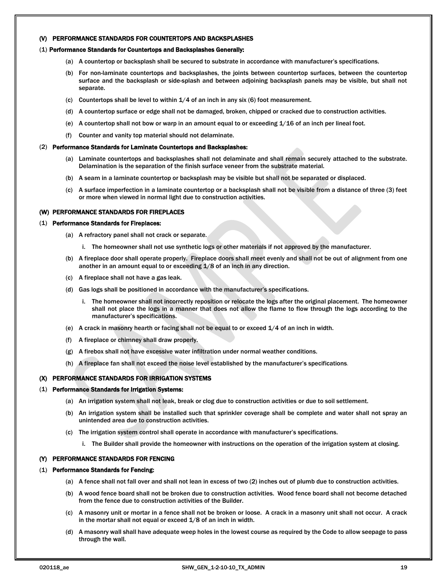# (V) PERFORMANCE STANDARDS FOR COUNTERTOPS AND BACKSPLASHES

# (1) Performance Standards for Countertops and Backsplashes Generally:

- (a) A countertop or backsplash shall be secured to substrate in accordance with manufacturer's specifications.
- (b) For non-laminate countertops and backsplashes, the joints between countertop surfaces, between the countertop surface and the backsplash or side-splash and between adjoining backsplash panels may be visible, but shall not separate.
- (c) Countertops shall be level to within  $1/4$  of an inch in any six (6) foot measurement.
- (d) A countertop surface or edge shall not be damaged, broken, chipped or cracked due to construction activities.
- (e) A countertop shall not bow or warp in an amount equal to or exceeding 1/16 of an inch per lineal foot.
- (f) Counter and vanity top material should not delaminate.

# (2) Performance Standards for Laminate Countertops and Backsplashes:

- (a) Laminate countertops and backsplashes shall not delaminate and shall remain securely attached to the substrate. Delamination is the separation of the finish surface veneer from the substrate material.
- (b) A seam in a laminate countertop or backsplash may be visible but shall not be separated or displaced.
- (c) A surface imperfection in a laminate countertop or a backsplash shall not be visible from a distance of three (3) feet or more when viewed in normal light due to construction activities.

# (W) PERFORMANCE STANDARDS FOR FIREPLACES

# (1) Performance Standards for Fireplaces:

- (a) A refractory panel shall not crack or separate.
	- i. The homeowner shall not use synthetic logs or other materials if not approved by the manufacturer.
- (b) A fireplace door shall operate properly. Fireplace doors shall meet evenly and shall not be out of alignment from one another in an amount equal to or exceeding 1/8 of an inch in any direction.
- (c) A fireplace shall not have a gas leak.
- (d) Gas logs shall be positioned in accordance with the manufacturer's specifications.
	- i. The homeowner shall not incorrectly reposition or relocate the logs after the original placement. The homeowner shall not place the logs in a manner that does not allow the flame to flow through the logs according to the manufacturer's specifications.
- (e) A crack in masonry hearth or facing shall not be equal to or exceed  $1/4$  of an inch in width.
- (f) A fireplace or chimney shall draw properly.
- (g) A firebox shall not have excessive water infiltration under normal weather conditions.
- (h) A fireplace fan shall not exceed the noise level established by the manufacturer's specifications*.*

# (X) PERFORMANCE STANDARDS FOR IRRIGATION SYSTEMS

# (1) Performance Standards for Irrigation Systems:

- (a) An irrigation system shall not leak, break or clog due to construction activities or due to soil settlement.
- (b) An irrigation system shall be installed such that sprinkler coverage shall be complete and water shall not spray an unintended area due to construction activities.
- (c) The irrigation system control shall operate in accordance with manufacturer's specifications.
	- i. The Builder shall provide the homeowner with instructions on the operation of the irrigation system at closing.

# (Y) PERFORMANCE STANDARDS FOR FENCING

# (1) Performance Standards for Fencing:

- (a) A fence shall not fall over and shall not lean in excess of two (2) inches out of plumb due to construction activities.
- (b) A wood fence board shall not be broken due to construction activities. Wood fence board shall not become detached from the fence due to construction activities of the Builder.
- (c) A masonry unit or mortar in a fence shall not be broken or loose. A crack in a masonry unit shall not occur. A crack in the mortar shall not equal or exceed  $1/8$  of an inch in width.
- (d) A masonry wall shall have adequate weep holes in the lowest course as required by the Code to allow seepage to pass through the wall.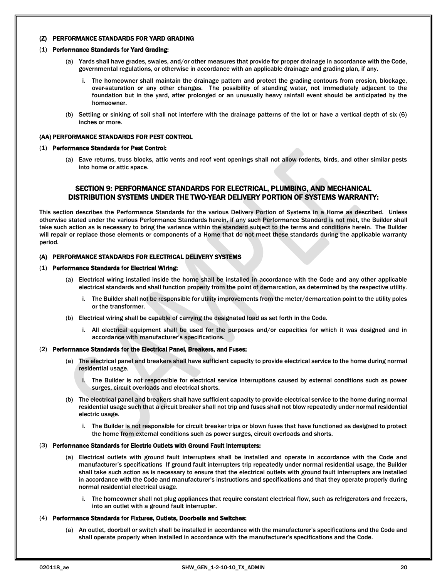## (Z) PERFORMANCE STANDARDS FOR YARD GRADING

#### (1) Performance Standards for Yard Grading:

- (a) Yards shall have grades, swales, and/or other measures that provide for proper drainage in accordance with the Code, governmental regulations, or otherwise in accordance with an applicable drainage and grading plan, if any.
	- i. The homeowner shall maintain the drainage pattern and protect the grading contours from erosion, blockage, over-saturation or any other changes. The possibility of standing water, not immediately adjacent to the foundation but in the yard, after prolonged or an unusually heavy rainfall event should be anticipated by the homeowner.
- (b) Settling or sinking of soil shall not interfere with the drainage patterns of the lot or have a vertical depth of six (6) inches or more.

## (AA) PERFORMANCE STANDARDS FOR PEST CONTROL

## (1) Performance Standards for Pest Control:

(a) Eave returns, truss blocks, attic vents and roof vent openings shall not allow rodents, birds, and other similar pests into home or attic space.

# SECTION 9: PERFORMANCE STANDARDS FOR ELECTRICAL, PLUMBING, AND MECHANICAL DISTRIBUTION SYSTEMS UNDER THE TWO-YEAR DELIVERY PORTION OF SYSTEMS WARRANTY:

This section describes the Performance Standards for the various Delivery Portion of Systems in a Home as described. Unless otherwise stated under the various Performance Standards herein, if any such Performance Standard is not met, the Builder shall take such action as is necessary to bring the variance within the standard subject to the terms and conditions herein. The Builder will repair or replace those elements or components of a Home that do not meet these standards during the applicable warranty period.

# (A) PERFORMANCE STANDARDS FOR ELECTRICAL DELIVERY SYSTEMS

## (1) Performance Standards for Electrical Wiring:

- (a) Electrical wiring installed inside the home shall be installed in accordance with the Code and any other applicable electrical standards and shall function properly from the point of demarcation, as determined by the respective utility.
	- i. The Builder shall not be responsible for utility improvements from the meter/demarcation point to the utility poles or the transformer.
- (b) Electrical wiring shall be capable of carrying the designated load as set forth in the Code.
	- i. All electrical equipment shall be used for the purposes and/or capacities for which it was designed and in accordance with manufacturer's specifications.

# (2) Performance Standards for the Electrical Panel, Breakers, and Fuses:

- (a) The electrical panel and breakers shall have sufficient capacity to provide electrical service to the home during normal residential usage.
	- i. The Builder is not responsible for electrical service interruptions caused by external conditions such as power surges, circuit overloads and electrical shorts.
- (b) The electrical panel and breakers shall have sufficient capacity to provide electrical service to the home during normal residential usage such that a circuit breaker shall not trip and fuses shall not blow repeatedly under normal residential electric usage.
	- i. The Builder is not responsible for circuit breaker trips or blown fuses that have functioned as designed to protect the home from external conditions such as power surges, circuit overloads and shorts.

#### (3) Performance Standards for Electric Outlets with Ground Fault Interrupters:

- (a) Electrical outlets with ground fault interrupters shall be installed and operate in accordance with the Code and manufacturer's specificationsIf ground fault interrupters trip repeatedly under normal residential usage, the Builder shall take such action as is necessary to ensure that the electrical outlets with ground fault interrupters are installed in accordance with the Code and manufacturer's instructions and specifications and that they operate properly during normal residential electrical usage.
	- i. The homeowner shall not plug appliances that require constant electrical flow, such as refrigerators and freezers, into an outlet with a ground fault interrupter.

#### (4) Performance Standards for Fixtures, Outlets, Doorbells and Switches:

(a) An outlet, doorbell or switch shall be installed in accordance with the manufacturer's specifications and the Code and shall operate properly when installed in accordance with the manufacturer's specifications and the Code.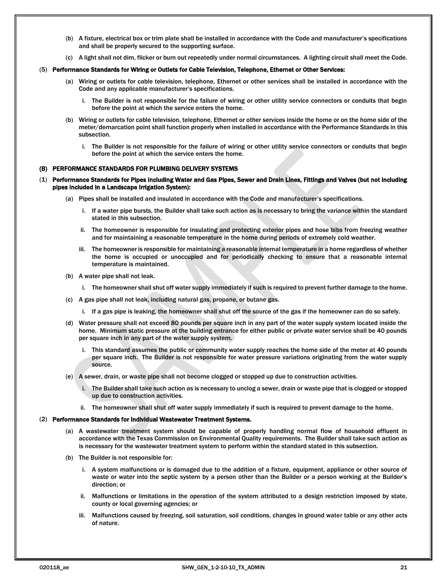- (b) A fixture, electrical box or trim plate shall be installed in accordance with the Code and manufacturer's specifications and shall be properly secured to the supporting surface.
- (c) A light shall not dim, flicker or burn out repeatedly under normal circumstances. A lighting circuit shall meet the Code.

## (5) Performance Standards for Wiring or Outlets for Cable Television, Telephone, Ethernet or Other Services:

- (a) Wiring or outlets for cable television, telephone, Ethernet or other services shall be installed in accordance with the Code and any applicable manufacturer's specifications.
	- i. The Builder is not responsible for the failure of wiring or other utility service connectors or conduits that begin before the point at which the service enters the home.
- (b) Wiring or outlets for cable television, telephone, Ethernet or other services inside the home or on the home side of the meter/demarcation point shall function properly when installed in accordance with the Performance Standards in this subsection.
	- i. The Builder is not responsible for the failure of wiring or other utility service connectors or conduits that begin before the point at which the service enters the home.

## (B) PERFORMANCE STANDARDS FOR PLUMBING DELIVERY SYSTEMS

- (1) Performance Standards for Pipes including Water and Gas Pipes, Sewer and Drain Lines, Fittings and Valves (but not including pipes included in a Landscape Irrigation System):
	- (a) Pipes shall be installed and insulated in accordance with the Code and manufacturer's specifications.
		- i. If a water pipe bursts, the Builder shall take such action as is necessary to bring the variance within the standard stated in this subsection.
		- ii. The homeowner is responsible for insulating and protecting exterior pipes and hose bibs from freezing weather and for maintaining a reasonable temperature in the home during periods of extremely cold weather.
		- iii. The homeowner is responsible for maintaining a reasonable internal temperature in a home regardless of whether the home is occupied or unoccupied and for periodically checking to ensure that a reasonable internal temperature is maintained.
	- (b) A water pipe shall not leak.
		- i. The homeowner shall shut off water supply immediately if such is required to prevent further damage to the home.
	- (c) A gas pipe shall not leak, including natural gas, propane, or butane gas.
		- i. If a gas pipe is leaking, the homeowner shall shut off the source of the gas if the homeowner can do so safely.
	- (d) Water pressure shall not exceed 80 pounds per square inch in any part of the water supply system located inside the home. Minimum static pressure at the building entrance for either public or private water service shall be 40 pounds per square inch in any part of the water supply system.
		- i. This standard assumes the public or community water supply reaches the home side of the meter at 40 pounds per square inch. The Builder is not responsible for water pressure variations originating from the water supply source.
	- (e) A sewer, drain, or waste pipe shall not become clogged or stopped up due to construction activities.
		- i. The Builder shall take such action as is necessary to unclog a sewer, drain or waste pipe that is clogged or stopped up due to construction activities.
		- ii. The homeowner shall shut off water supply immediately if such is required to prevent damage to the home.

#### (2) Performance Standards for Individual Wastewater Treatment Systems.

- (a) A wastewater treatment system should be capable of properly handling normal flow of household effluent in accordance with the Texas Commission on Environmental Quality requirements. The Builder shall take such action as is necessary for the wastewater treatment system to perform within the standard stated in this subsection.
- (b) The Builder is not responsible for:
	- i. A system malfunctions or is damaged due to the addition of a fixture, equipment, appliance or other source of waste or water into the septic system by a person other than the Builder or a person working at the Builder's direction; or
	- ii. Malfunctions or limitations in the operation of the system attributed to a design restriction imposed by state, county or local governing agencies; or
	- iii. Malfunctions caused by freezing, soil saturation, soil conditions, changes in ground water table or any other acts of nature.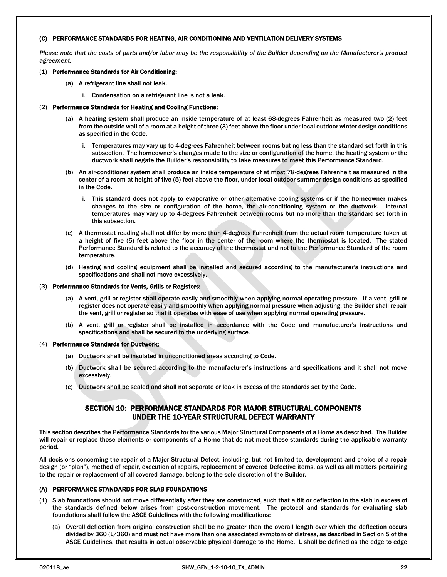# (C) PERFORMANCE STANDARDS FOR HEATING, AIR CONDITIONING AND VENTILATION DELIVERY SYSTEMS

*Please note that the costs of parts and/or labor may be the responsibility of the Builder depending on the Manufacturer's product agreement.*

## (1) Performance Standards for Air Conditioning:

- (a) A refrigerant line shall not leak.
	- i. Condensation on a refrigerant line is not a leak.

## (2) Performance Standards for Heating and Cooling Functions:

- (a) A heating system shall produce an inside temperature of at least 68-degrees Fahrenheit as measured two (2) feet from the outside wall of a room at a height of three (3) feet above the floor under local outdoor winter design conditions as specified in the Code.
	- i. Temperatures may vary up to 4-degrees Fahrenheit between rooms but no less than the standard set forth in this subsection. The homeowner's changes made to the size or configuration of the home, the heating system or the ductwork shall negate the Builder's responsibility to take measures to meet this Performance Standard.
- (b) An air-conditioner system shall produce an inside temperature of at most 78-degrees Fahrenheit as measured in the center of a room at height of five (5) feet above the floor, under local outdoor summer design conditions as specified in the Code.
	- i. This standard does not apply to evaporative or other alternative cooling systems or if the homeowner makes changes to the size or configuration of the home, the air-conditioning system or the ductwork. Internal temperatures may vary up to 4-degrees Fahrenheit between rooms but no more than the standard set forth in this subsection.
- (c) A thermostat reading shall not differ by more than 4-degrees Fahrenheit from the actual room temperature taken at a height of five (5) feet above the floor in the center of the room where the thermostat is located. The stated Performance Standard is related to the accuracy of the thermostat and not to the Performance Standard of the room temperature.
- (d) Heating and cooling equipment shall be installed and secured according to the manufacturer's instructions and specifications and shall not move excessively.

## (3) Performance Standards for Vents, Grills or Registers:

- (a) A vent, grill or register shall operate easily and smoothly when applying normal operating pressure. If a vent, grill or register does not operate easily and smoothly when applying normal pressure when adjusting, the Builder shall repair the vent, grill or register so that it operates with ease of use when applying normal operating pressure.
- (b) A vent, grill or register shall be installed in accordance with the Code and manufacturer's instructions and specifications and shall be secured to the underlying surface.

#### (4) Performance Standards for Ductwork:

- (a) Ductwork shall be insulated in unconditioned areas according to Code.
- (b) Ductwork shall be secured according to the manufacturer's instructions and specifications and it shall not move excessively.
- (c) Ductwork shall be sealed and shall not separate or leak in excess of the standards set by the Code.

# SECTION 10: PERFORMANCE STANDARDS FOR MAJOR STRUCTURAL COMPONENTS UNDER THE 10-YEAR STRUCTURAL DEFECT WARRANTY

This section describes the Performance Standards for the various Major Structural Components of a Home as described. The Builder will repair or replace those elements or components of a Home that do not meet these standards during the applicable warranty period.

All decisions concerning the repair of a Major Structural Defect, including, but not limited to, development and choice of a repair design (or "plan"), method of repair, execution of repairs, replacement of covered Defective items, as well as all matters pertaining to the repair or replacement of all covered damage, belong to the sole discretion of the Builder.

# (A) PERFORMANCE STANDARDS FOR SLAB FOUNDATIONS

- (1) Slab foundations should not move differentially after they are constructed, such that a tilt or deflection in the slab in excess of the standards defined below arises from post-construction movement. The protocol and standards for evaluating slab foundations shall follow the ASCE Guidelines with the following modifications:
	- (a) Overall deflection from original construction shall be no greater than the overall length over which the deflection occurs divided by 360 (L/360) and must not have more than one associated symptom of distress, as described in Section 5 of the ASCE Guidelines, that results in actual observable physical damage to the Home. L shall be defined as the edge to edge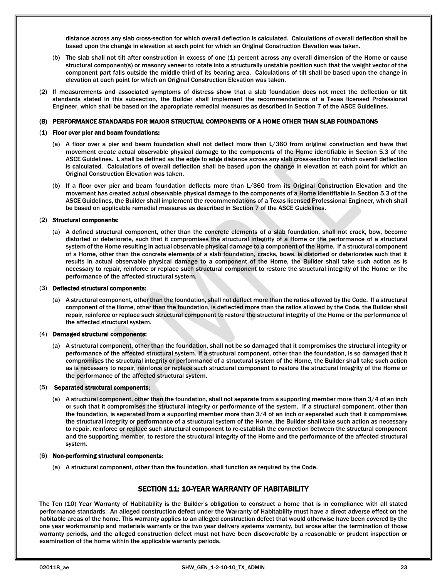distance across any slab cross-section for which overall deflection is calculated. Calculations of overall deflection shall be based upon the change in elevation at each point for which an Original Construction Elevation was taken.

- (b) The slab shall not tilt after construction in excess of one (1) percent across any overall dimension of the Home or cause structural component(s) or masonry veneer to rotate into a structurally unstable position such that the weight vector of the component part falls outside the middle third of its bearing area. Calculations of tilt shall be based upon the change in elevation at each point for which an Original Construction Elevation was taken.
- (2) If measurements and associated symptoms of distress show that a slab foundation does not meet the deflection or tilt standards stated in this subsection, the Builder shall implement the recommendations of a Texas licensed Professional Engineer, which shall be based on the appropriate remedial measures as described in Section 7 of the ASCE Guidelines.

## (B) PERFORMANCE STANDARDS FOR MAJOR STRUCTUAL COMPONENTS OF A HOME OTHER THAN SLAB FOUNDATIONS

## (1) Floor over pier and beam foundations:

- (a) A floor over a pier and beam foundation shall not deflect more than L/360 from original construction and have that movement create actual observable physical damage to the components of the Home identifiable in Section 5.3 of the ASCE Guidelines. L shall be defined as the edge to edge distance across any slab cross-section for which overall deflection is calculated. Calculations of overall deflection shall be based upon the change in elevation at each point for which an Original Construction Elevation was taken.
- (b) If a floor over pier and beam foundation deflects more than L/360 from its Original Construction Elevation and the movement has created actual observable physical damage to the components of a Home identifiable in Section 5.3 of the ASCE Guidelines, the Builder shall implement the recommendations of a Texas licensed Professional Engineer, which shall be based on applicable remedial measures as described in Section 7 of the ASCE Guidelines.

## (2) Structural components:

(a) A defined structural component, other than the concrete elements of a slab foundation, shall not crack, bow, become distorted or deteriorate, such that it compromises the structural integrity of a Home or the performance of a structural system of the Home resulting in actual observable physical damage to a component of the Home. If a structural component of a Home, other than the concrete elements of a slab foundation, cracks, bows, is distorted or deteriorates such that it results in actual observable physical damage to a component of the Home, the Builder shall take such action as is necessary to repair, reinforce or replace such structural component to restore the structural integrity of the Home or the performance of the affected structural system.

## (3) Deflected structural components:

(a) A structural component, other than the foundation, shall not deflect more than the ratios allowed by the Code. If a structural component of the Home, other than the foundation, is deflected more than the ratios allowed by the Code, the Builder shall repair, reinforce or replace such structural component to restore the structural integrity of the Home or the performance of the affected structural system.

#### (4) Damaged structural components:

(a) A structural component, other than the foundation, shall not be so damaged that it compromises the structural integrity or performance of the affected structural system. If a structural component, other than the foundation, is so damaged that it compromises the structural integrity or performance of a structural system of the Home, the Builder shall take such action as is necessary to repair, reinforce or replace such structural component to restore the structural integrity of the Home or the performance of the affected structural system.

#### (5) Separated structural components:

(a) A structural component, other than the foundation, shall not separate from a supporting member more than 3/4 of an inch or such that it compromises the structural integrity or performance of the system. If a structural component, other than the foundation, is separated from a supporting member more than 3/4 of an inch or separated such that it compromises the structural integrity or performance of a structural system of the Home, the Builder shall take such action as necessary to repair, reinforce or replace such structural component to re-establish the connection between the structural component and the supporting member, to restore the structural integrity of the Home and the performance of the affected structural system.

## (6) Non-performing structural components:

(a) A structural component, other than the foundation, shall function as required by the Code.

# SECTION 11: 10-YEAR WARRANTY OF HABITABILITY

The Ten (10) Year Warranty of Habitability is the Builder's obligation to construct a home that is in compliance with all stated performance standards. An alleged construction defect under the Warranty of Habitability must have a direct adverse effect on the habitable areas of the home. This warranty applies to an alleged construction defect that would otherwise have been covered by the one year workmanship and materials warranty or the two year delivery systems warranty, but arose after the termination of those warranty periods, and the alleged construction defect must not have been discoverable by a reasonable or prudent inspection or examination of the home within the applicable warranty periods.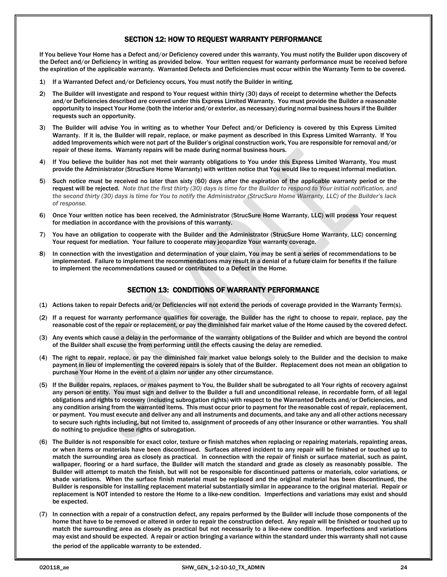# SECTION 12: HOW TO REQUEST WARRANTY PERFORMANCE

If You believe Your Home has a Defect and/or Deficiency covered under this warranty, You must notify the Builder upon discovery of the Defect and/or Deficiency in writing as provided below. Your written request for warranty performance must be received before the expiration of the applicable warranty. Warranted Defects and Deficiencies must occur within the Warranty Term to be covered.

- 1) If a Warranted Defect and/or Deficiency occurs, You must notify the Builder in writing.
- 2) The Builder will investigate and respond to Your request within thirty (30) days of receipt to determine whether the Defects and/or Deficiencies described are covered under this Express Limited Warranty. You must provide the Builder a reasonable opportunity to inspect Your Home (both the interior and/or exterior, as necessary) during normal business hours if the Builder requests such an opportunity.
- 3) The Builder will advise You in writing as to whether Your Defect and/or Deficiency is covered by this Express Limited Warranty. If it is, the Builder will repair, replace, or make payment as described in this Express Limited Warranty. If You added Improvements which were not part of the Builder's original construction work, You are responsible for removal and/or repair of these items. Warranty repairs will be made during normal business hours.
- 4) If You believe the builder has not met their warranty obligations to You under this Express Limited Warranty, You must provide the Administrator (StrucSure Home Warranty) with written notice that You would like to request informal mediation.
- 5) Such notice must be received no later than sixty (60) days after the expiration of the applicable warranty period or the request will be rejected. *Note that the first thirty (30) days is time for the Builder to respond to Your initial notification, and the second thirty (30) days is time for You to notify the Administrator (StrucSure Home Warranty, LLC) of the Builder's lack of response.*
- 6) Once Your written notice has been received, the Administrator (StrucSure Home Warranty, LLC) will process Your request for mediation in accordance with the provisions of this warranty.
- 7) You have an obligation to cooperate with the Builder and the Administrator (StrucSure Home Warranty, LLC) concerning Your request for mediation. Your failure to cooperate may jeopardize Your warranty coverage.
- 8) In connection with the investigation and determination of your claim, You may be sent a series of recommendations to be implemented. Failure to implement the recommendations may result in a denial of a future claim for benefits if the failure to implement the recommendations caused or contributed to a Defect in the Home.

# SECTION 13: CONDITIONS OF WARRANTY PERFORMANCE

- (1) Actions taken to repair Defects and/or Deficiencies will not extend the periods of coverage provided in the Warranty Term(s).
- (2) If a request for warranty performance qualifies for coverage, the Builder has the right to choose to repair, replace, pay the reasonable cost of the repair or replacement, or pay the diminished fair market value of the Home caused by the covered defect.
- (3) Any events which cause a delay in the performance of the warranty obligations of the Builder and which are beyond the control of the Builder shall excuse the from performing until the effects causing the delay are remedied.
- (4) The right to repair, replace, or pay the diminished fair market value belongs solely to the Builder and the decision to make payment in lieu of implementing the covered repairs is solely that of the Builder. Replacement does not mean an obligation to purchase Your Home in the event of a claim nor under any other circumstance.
- (5) If the Builder repairs, replaces, or makes payment to You, the Builder shall be subrogated to all Your rights of recovery against any person or entity. You must sign and deliver to the Builder a full and unconditional release, in recordable form, of all legal obligations and rights to recovery (including subrogation rights) with respect to the Warranted Defects and/or Deficiencies, and any condition arising from the warranted items. This must occur prior to payment for the reasonable cost of repair, replacement, or payment. You must execute and deliver any and all instruments and documents, and take any and all other actions necessary to secure such rights including, but not limited to, assignment of proceeds of any other insurance or other warranties. You shall do nothing to prejudice these rights of subrogation.
- (6) The Builder is not responsible for exact color, texture or finish matches when replacing or repairing materials, repainting areas, or when items or materials have been discontinued. Surfaces altered incident to any repair will be finished or touched up to match the surrounding area as closely as practical. In connection with the repair of finish or surface material, such as paint, wallpaper, flooring or a hard surface, the Builder will match the standard and grade as closely as reasonably possible. The Builder will attempt to match the finish, but will not be responsible for discontinued patterns or materials, color variations, or shade variations. When the surface finish material must be replaced and the original material has been discontinued, the Builder is responsible for installing replacement material substantially similar in appearance to the original material. Repair or replacement is NOT intended to restore the Home to a like-new condition. Imperfections and variations may exist and should be expected.
- (7) In connection with a repair of a construction defect, any repairs performed by the Builder will include those components of the home that have to be removed or altered in order to repair the construction defect. Any repair will be finished or touched up to match the surrounding area as closely as practical but not necessarily to a like-new condition. Imperfections and variations may exist and should be expected. A repair or action bringing a variance within the standard under this warranty shall not cause the period of the applicable warranty to be extended.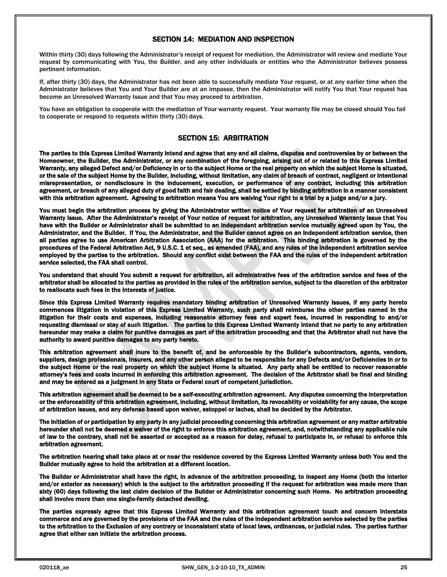# SECTION 14: MEDIATION AND INSPECTION

Within thirty (30) days following the Administrator's receipt of request for mediation, the Administrator will review and mediate Your request by communicating with You, the Builder, and any other individuals or entities who the Administrator believes possess pertinent information.

If, after thirty (30) days, the Administrator has not been able to successfully mediate Your request, or at any earlier time when the Administrator believes that You and Your Builder are at an impasse, then the Administrator will notify You that Your request has become an Unresolved Warranty Issue and that You may proceed to arbitration.

You have an obligation to cooperate with the mediation of Your warranty request. Your warranty file may be closed should You fail to cooperate or respond to requests within thirty (30) days.

# SECTION 15: ARBITRATION

The parties to this Express Limited Warranty intend and agree that any and all claims, disputes and controversies by or between the Homeowner, the Builder, the Administrator, or any combination of the foregoing, arising out of or related to this Express Limited Warranty, any alleged Defect and/or Deficiency in or to the subject Home or the real property on which the subject Home is situated, or the sale of the subject Home by the Builder, including, without limitation, any claim of breach of contract, negligent or intentional misrepresentation, or nondisclosure in the inducement, execution, or performance of any contract, including this arbitration agreement, or breach of any alleged duty of good faith and fair dealing, shall be settled by binding arbitration in a manner consistent with this arbitration agreement. Agreeing to arbitration means You are waiving Your right to a trial by a judge and/or a jury.

You must begin the arbitration process by giving the Administrator written notice of Your request for arbitration of an Unresolved Warranty Issue. After the Administrator's receipt of Your notice of request for arbitration, any Unresolved Warranty Issue that You have with the Builder or Administrator shall be submitted to an independent arbitration service mutually agreed upon by You, the Administrator, and the Builder. If You, the Administrator, and the Builder cannot agree on an independent arbitration service, then all parties agree to use American Arbitration Association (AAA) for the arbitration. This binding arbitration is governed by the procedures of the Federal Arbitration Act, 9 U.S.C. 1 et seq., as amended (FAA), and any rules of the independent arbitration service employed by the parties to the arbitration. Should any conflict exist between the FAA and the rules of the independent arbitration service selected, the FAA shall control.

You understand that should You submit a request for arbitration, all administrative fees of the arbitration service and fees of the arbitrator shall be allocated to the parties as provided in the rules of the arbitration service, subject to the discretion of the arbitrator to reallocate such fees in the interests of justice.

Since this Express Limited Warranty requires mandatory binding arbitration of Unresolved Warranty Issues, if any party hereto commences litigation in violation of this Express Limited Warranty, such party shall reimburse the other parties named in the litigation for their costs and expenses, including reasonable attorney fees and expert fees, incurred in responding to and/or requesting dismissal or stay of such litigation. The parties to this Express Limited Warranty intend that no party to any arbitration hereunder may make a claim for punitive damages as part of the arbitration proceeding and that the Arbitrator shall not have the authority to award punitive damages to any party hereto.

This arbitration agreement shall inure to the benefit of, and be enforceable by the Builder's subcontractors, agents, vendors, suppliers, design professionals, Insurers, and any other person alleged to be responsible for any Defects and/or Deficiencies in or to the subject Home or the real property on which the subject Home is situated. Any party shall be entitled to recover reasonable attorney's fees and costs incurred in enforcing this arbitration agreement. The decision of the Arbitrator shall be final and binding and may be entered as a judgment in any State or Federal court of competent jurisdiction.

This arbitration agreement shall be deemed to be a self-executing arbitration agreement. Any disputes concerning the interpretation or the enforceability of this arbitration agreement, including, without limitation, its revocability or voidability for any cause, the scope of arbitration issues, and any defense based upon waiver, estoppel or laches, shall be decided by the Arbitrator.

The initiation of or participation by any party in any judicial proceeding concerning this arbitration agreement or any matter arbitrable hereunder shall not be deemed a waiver of the right to enforce this arbitration agreement, and, notwithstanding any applicable rule of law to the contrary, shall not be asserted or accepted as a reason for delay, refusal to participate in, or refusal to enforce this arbitration agreement.

The arbitration hearing shall take place at or near the residence covered by the Express Limited Warranty unless both You and the Builder mutually agree to hold the arbitration at a different location.

The Builder or Administrator shall have the right, in advance of the arbitration proceeding, to inspect any Home (both the interior and/or exterior as necessary) which is the subject to the arbitration proceeding if the request for arbitration was made more than sixty (60) days following the last claim decision of the Builder or Administrator concerning such Home. No arbitration proceeding shall involve more than one single-family detached dwelling.

The parties expressly agree that this Express Limited Warranty and this arbitration agreement touch and concern interstate commerce and are governed by the provisions of the FAA and the rules of the independent arbitration service selected by the parties to the arbitration to the Exclusion of any contrary or inconsistent state of local laws, ordinances, or judicial rules. The parties further agree that either can initiate the arbitration process.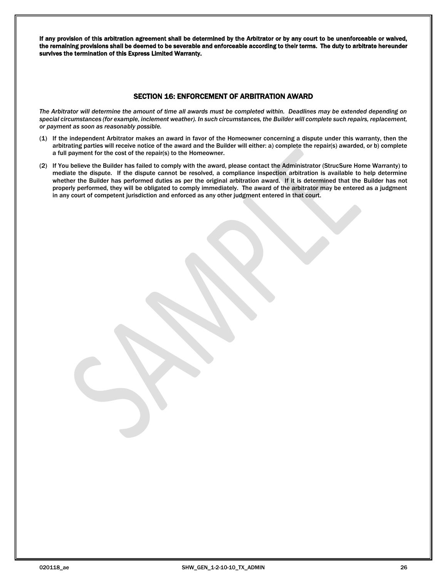If any provision of this arbitration agreement shall be determined by the Arbitrator or by any court to be unenforceable or waived, the remaining provisions shall be deemed to be severable and enforceable according to their terms. The duty to arbitrate hereunder survives the termination of this Express Limited Warranty.

# SECTION 16: ENFORCEMENT OF ARBITRATION AWARD

*The Arbitrator will determine the amount of time all awards must be completed within. Deadlines may be extended depending on special circumstances (for example, inclement weather). In such circumstances, the Builder will complete such repairs, replacement, or payment as soon as reasonably possible.*

- (1) If the independent Arbitrator makes an award in favor of the Homeowner concerning a dispute under this warranty, then the arbitrating parties will receive notice of the award and the Builder will either: a) complete the repair(s) awarded, or b) complete a full payment for the cost of the repair(s) to the Homeowner.
- (2) If You believe the Builder has failed to comply with the award, please contact the Administrator (StrucSure Home Warranty) to mediate the dispute. If the dispute cannot be resolved, a compliance inspection arbitration is available to help determine whether the Builder has performed duties as per the original arbitration award. If it is determined that the Builder has not properly performed, they will be obligated to comply immediately. The award of the arbitrator may be entered as a judgment in any court of competent jurisdiction and enforced as any other judgment entered in that court.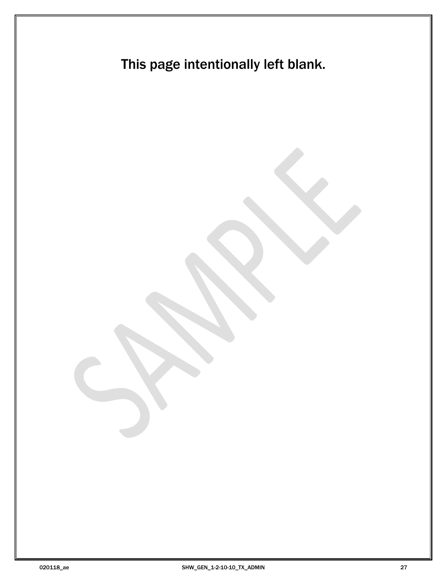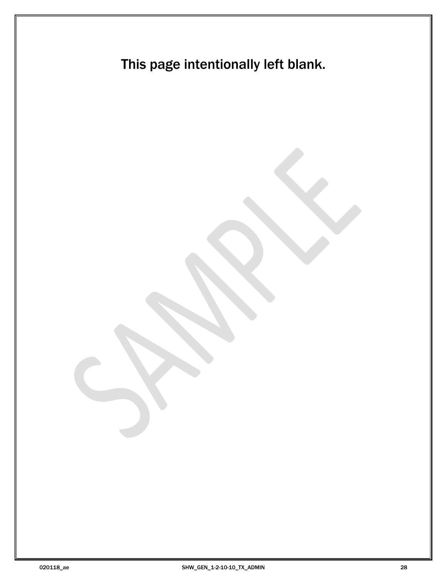